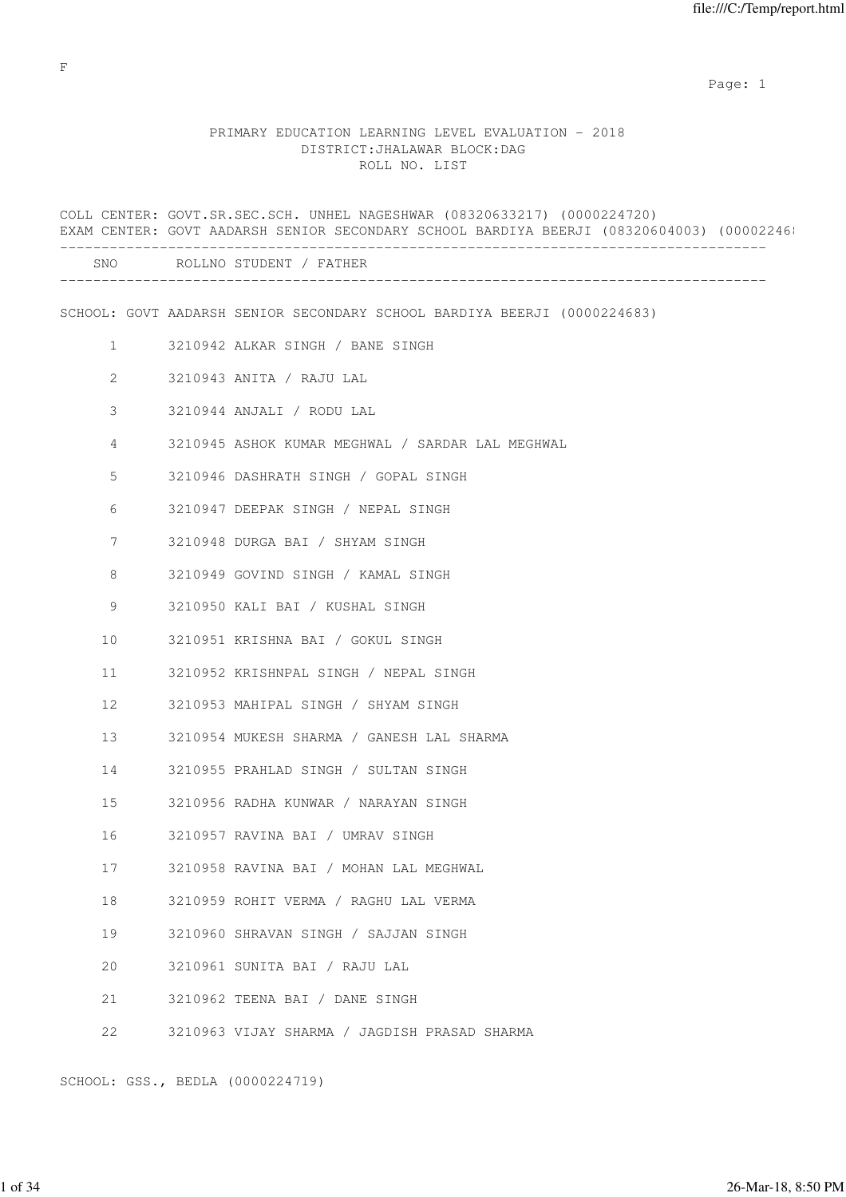# PRIMARY EDUCATION LEARNING LEVEL EVALUATION - 2018 DISTRICT:JHALAWAR BLOCK:DAG ROLL NO. LIST

|                | COLL CENTER: GOVT.SR.SEC.SCH. UNHEL NAGESHWAR (08320633217) (0000224720)<br>EXAM CENTER: GOVT AADARSH SENIOR SECONDARY SCHOOL BARDIYA BEERJI (08320604003) (00002246: |
|----------------|-----------------------------------------------------------------------------------------------------------------------------------------------------------------------|
|                | SNO ROLLNO STUDENT / FATHER                                                                                                                                           |
|                | SCHOOL: GOVT AADARSH SENIOR SECONDARY SCHOOL BARDIYA BEERJI (0000224683)                                                                                              |
| $\mathbf{1}$   | 3210942 ALKAR SINGH / BANE SINGH                                                                                                                                      |
| $\overline{2}$ | 3210943 ANITA / RAJU LAL                                                                                                                                              |
| 3              | 3210944 ANJALI / RODU LAL                                                                                                                                             |
| 4              | 3210945 ASHOK KUMAR MEGHWAL / SARDAR LAL MEGHWAL                                                                                                                      |
| 5              | 3210946 DASHRATH SINGH / GOPAL SINGH                                                                                                                                  |
| 6              | 3210947 DEEPAK SINGH / NEPAL SINGH                                                                                                                                    |
| 7              | 3210948 DURGA BAI / SHYAM SINGH                                                                                                                                       |
| 8              | 3210949 GOVIND SINGH / KAMAL SINGH                                                                                                                                    |
| 9              | 3210950 KALI BAI / KUSHAL SINGH                                                                                                                                       |
| 10             | 3210951 KRISHNA BAI / GOKUL SINGH                                                                                                                                     |
| 11             | 3210952 KRISHNPAL SINGH / NEPAL SINGH                                                                                                                                 |
| 12             | 3210953 MAHIPAL SINGH / SHYAM SINGH                                                                                                                                   |
| 13             | 3210954 MUKESH SHARMA / GANESH LAL SHARMA                                                                                                                             |
| 14             | 3210955 PRAHLAD SINGH / SULTAN SINGH                                                                                                                                  |
| 15             | 3210956 RADHA KUNWAR / NARAYAN SINGH                                                                                                                                  |
| 16             | 3210957 RAVINA BAI / UMRAV SINGH                                                                                                                                      |
| 17             | 3210958 RAVINA BAI / MOHAN LAL MEGHWAL                                                                                                                                |
| 18             | 3210959 ROHIT VERMA / RAGHU LAL VERMA                                                                                                                                 |
| 19             | 3210960 SHRAVAN SINGH / SAJJAN SINGH                                                                                                                                  |
| 20             | 3210961 SUNITA BAI / RAJU LAL                                                                                                                                         |
| 21             | 3210962 TEENA BAI / DANE SINGH                                                                                                                                        |
| 22             | 3210963 VIJAY SHARMA / JAGDISH PRASAD SHARMA                                                                                                                          |
|                |                                                                                                                                                                       |

SCHOOL: GSS., BEDLA (0000224719)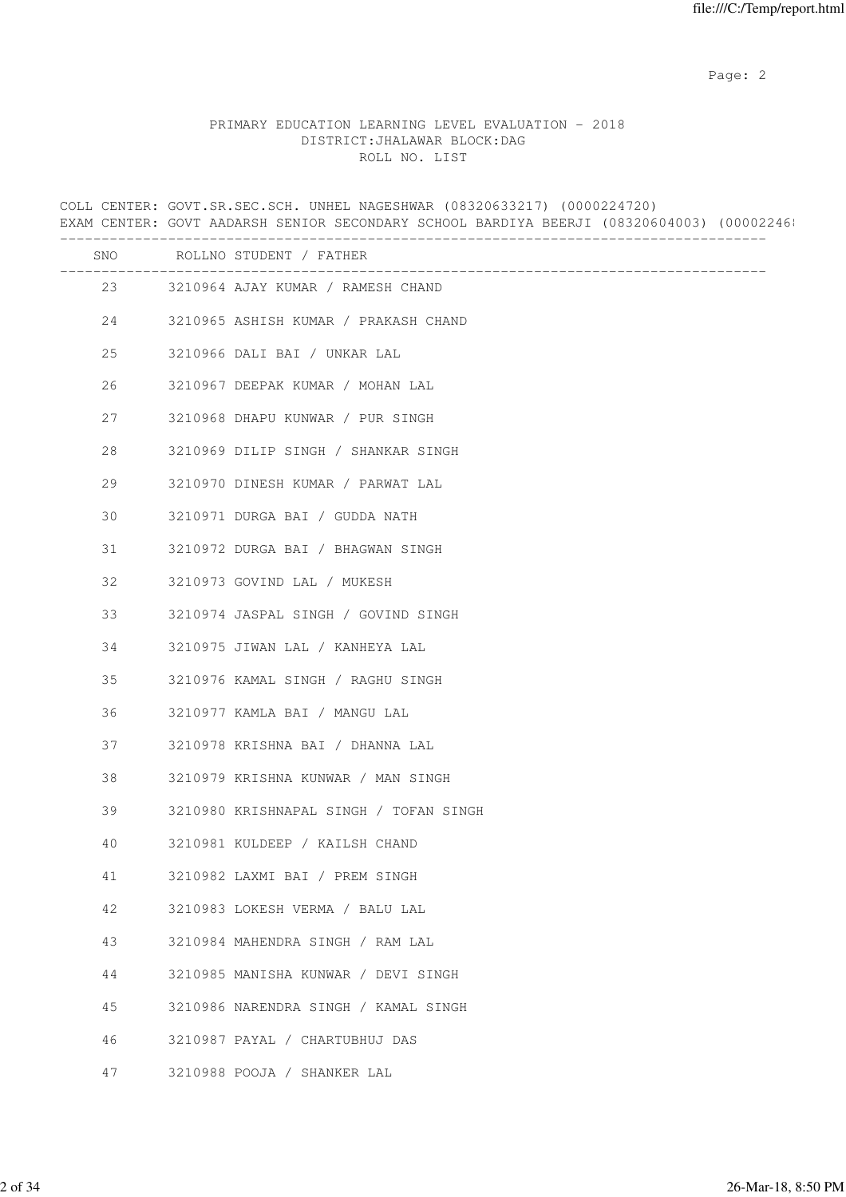## PRIMARY EDUCATION LEARNING LEVEL EVALUATION - 2018 DISTRICT:JHALAWAR BLOCK:DAG ROLL NO. LIST

COLL CENTER: GOVT.SR.SEC.SCH. UNHEL NAGESHWAR (08320633217) (0000224720) EXAM CENTER: GOVT AADARSH SENIOR SECONDARY SCHOOL BARDIYA BEERJI (08320604003) (00002246) ------------------------------------------------------------------------------------- SNO ROLLNO STUDENT / FATHER ------------------------------------------------------------------------------------- 23 3210964 AJAY KUMAR / RAMESH CHAND 24 3210965 ASHISH KUMAR / PRAKASH CHAND 25 3210966 DALI BAI / UNKAR LAL 26 3210967 DEEPAK KUMAR / MOHAN LAL 27 3210968 DHAPU KUNWAR / PUR SINGH 28 3210969 DILIP SINGH / SHANKAR SINGH 29 3210970 DINESH KUMAR / PARWAT LAL 30 3210971 DURGA BAI / GUDDA NATH 31 3210972 DURGA BAI / BHAGWAN SINGH 32 3210973 GOVIND LAL / MUKESH 33 3210974 JASPAL SINGH / GOVIND SINGH 34 3210975 JIWAN LAL / KANHEYA LAL 35 3210976 KAMAL SINGH / RAGHU SINGH 36 3210977 KAMLA BAI / MANGU LAL 37 3210978 KRISHNA BAI / DHANNA LAL 38 3210979 KRISHNA KUNWAR / MAN SINGH 39 3210980 KRISHNAPAL SINGH / TOFAN SINGH 40 3210981 KULDEEP / KAILSH CHAND 41 3210982 LAXMI BAI / PREM SINGH 42 3210983 LOKESH VERMA / BALU LAL 43 3210984 MAHENDRA SINGH / RAM LAL 44 3210985 MANISHA KUNWAR / DEVI SINGH 45 3210986 NARENDRA SINGH / KAMAL SINGH 46 3210987 PAYAL / CHARTUBHUJ DAS 47 3210988 POOJA / SHANKER LAL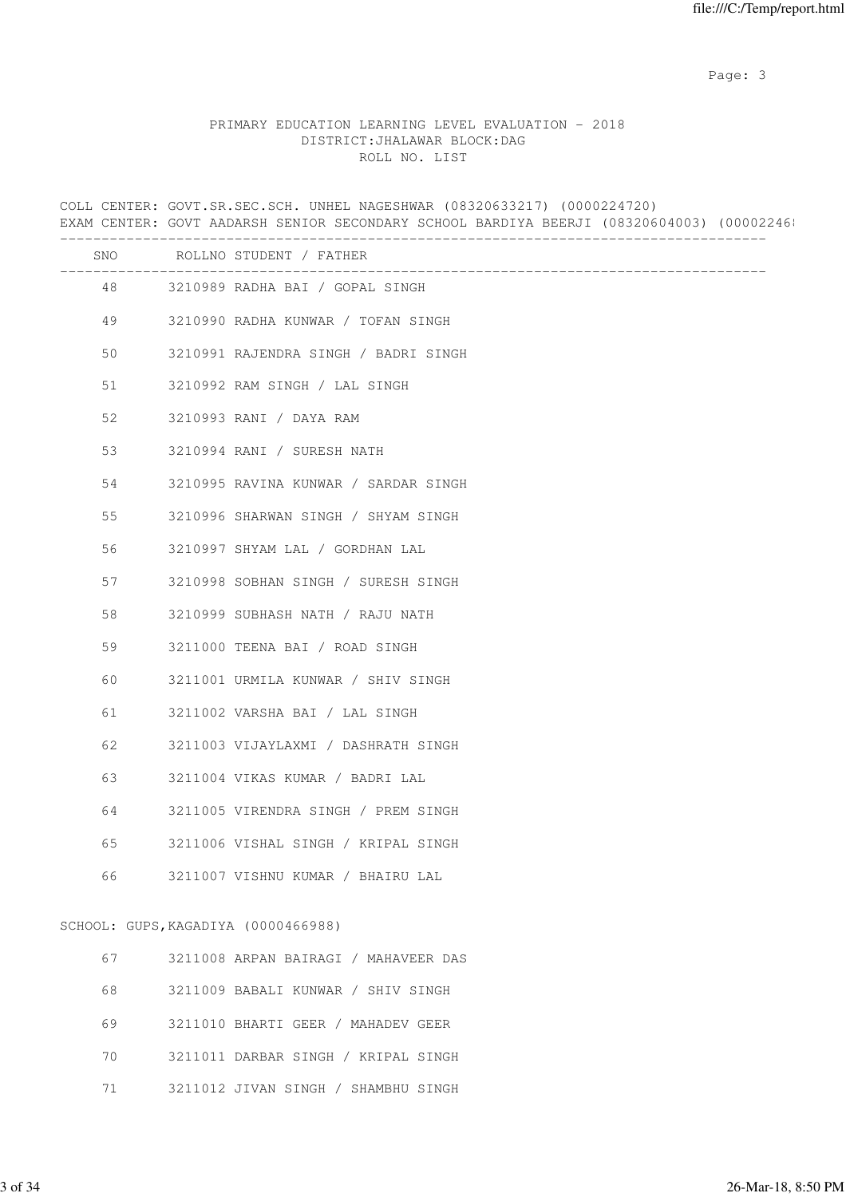Page: 3

## PRIMARY EDUCATION LEARNING LEVEL EVALUATION - 2018 DISTRICT:JHALAWAR BLOCK:DAG ROLL NO. LIST

COLL CENTER: GOVT.SR.SEC.SCH. UNHEL NAGESHWAR (08320633217) (0000224720) EXAM CENTER: GOVT AADARSH SENIOR SECONDARY SCHOOL BARDIYA BEERJI (08320604003) (00002246) ------------------------------------------------------------------------------------- SNO ROLLNO STUDENT / FATHER ------------------------------------------------------------------------------------- 48 3210989 RADHA BAI / GOPAL SINGH 49 3210990 RADHA KUNWAR / TOFAN SINGH 50 3210991 RAJENDRA SINGH / BADRI SINGH 51 3210992 RAM SINGH / LAL SINGH 52 3210993 RANI / DAYA RAM 53 3210994 RANI / SURESH NATH 54 3210995 RAVINA KUNWAR / SARDAR SINGH 55 3210996 SHARWAN SINGH / SHYAM SINGH 56 3210997 SHYAM LAL / GORDHAN LAL 57 3210998 SOBHAN SINGH / SURESH SINGH 58 3210999 SUBHASH NATH / RAJU NATH 59 3211000 TEENA BAI / ROAD SINGH 60 3211001 URMILA KUNWAR / SHIV SINGH 61 3211002 VARSHA BAI / LAL SINGH 62 3211003 VIJAYLAXMI / DASHRATH SINGH 63 3211004 VIKAS KUMAR / BADRI LAL 64 3211005 VIRENDRA SINGH / PREM SINGH 65 3211006 VISHAL SINGH / KRIPAL SINGH 66 3211007 VISHNU KUMAR / BHAIRU LAL SCHOOL: GUPS,KAGADIYA (0000466988) 67 3211008 ARPAN BAIRAGI / MAHAVEER DAS

| 68  | 3211009 BABALI KUNWAR / SHIV SINGH  |
|-----|-------------------------------------|
| 69  | 3211010 BHARTI GEER / MAHADEV GEER  |
| 70. | 3211011 DARBAR SINGH / KRIPAL SINGH |
|     | 3211012 JIVAN SINGH / SHAMBHU SINGH |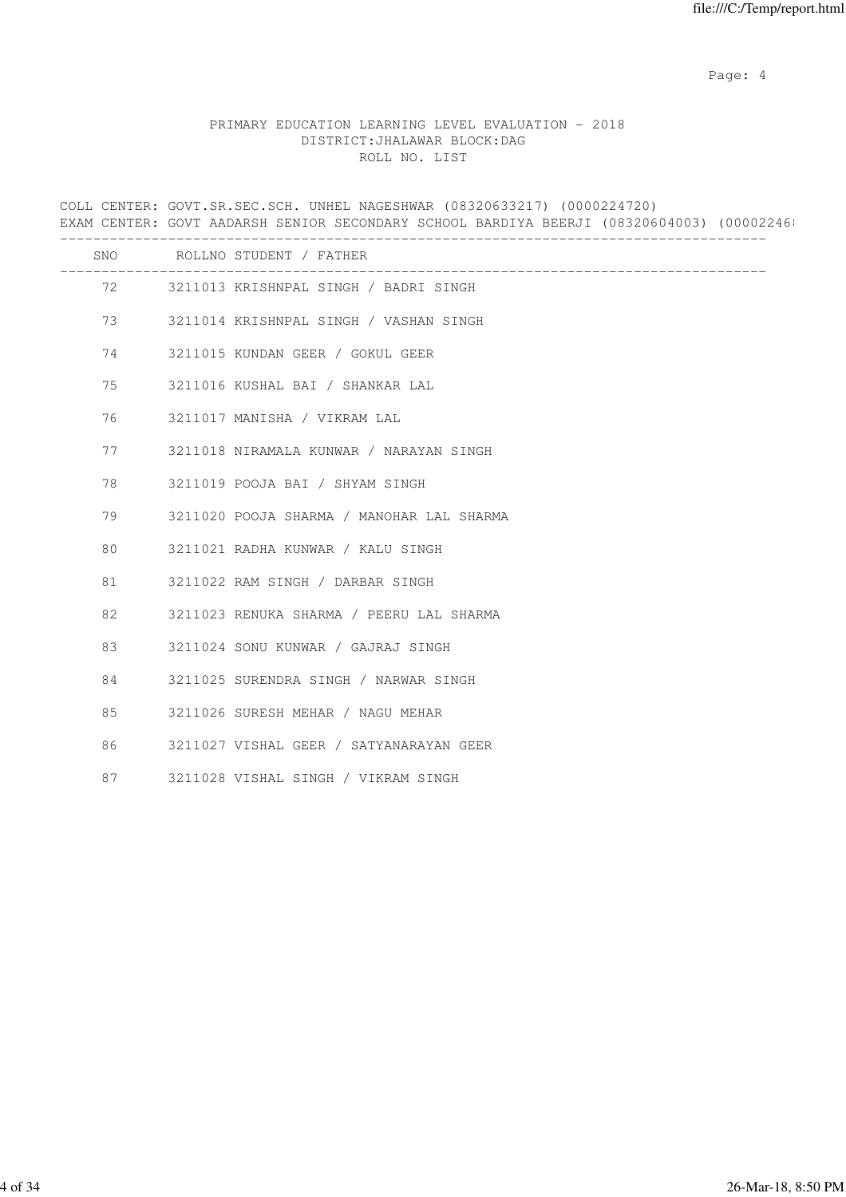Page: 4  $P$ 

## PRIMARY EDUCATION LEARNING LEVEL EVALUATION - 2018 DISTRICT:JHALAWAR BLOCK:DAG ROLL NO. LIST

COLL CENTER: GOVT.SR.SEC.SCH. UNHEL NAGESHWAR (08320633217) (0000224720) EXAM CENTER: GOVT AADARSH SENIOR SECONDARY SCHOOL BARDIYA BEERJI (08320604003) (000022468 ------------------------------------------------------------------------------------- SNO ROLLNO STUDENT / FATHER ------------------------------------------------------------------------------------- 72 3211013 KRISHNPAL SINGH / BADRI SINGH 73 3211014 KRISHNPAL SINGH / VASHAN SINGH 74 3211015 KUNDAN GEER / GOKUL GEER 75 3211016 KUSHAL BAI / SHANKAR LAL 76 3211017 MANISHA / VIKRAM LAL 77 3211018 NIRAMALA KUNWAR / NARAYAN SINGH 78 3211019 POOJA BAI / SHYAM SINGH 79 3211020 POOJA SHARMA / MANOHAR LAL SHARMA 80 3211021 RADHA KUNWAR / KALU SINGH 81 3211022 RAM SINGH / DARBAR SINGH 82 3211023 RENUKA SHARMA / PEERU LAL SHARMA 83 3211024 SONU KUNWAR / GAJRAJ SINGH 84 3211025 SURENDRA SINGH / NARWAR SINGH 85 3211026 SURESH MEHAR / NAGU MEHAR 86 3211027 VISHAL GEER / SATYANARAYAN GEER 87 3211028 VISHAL SINGH / VIKRAM SINGH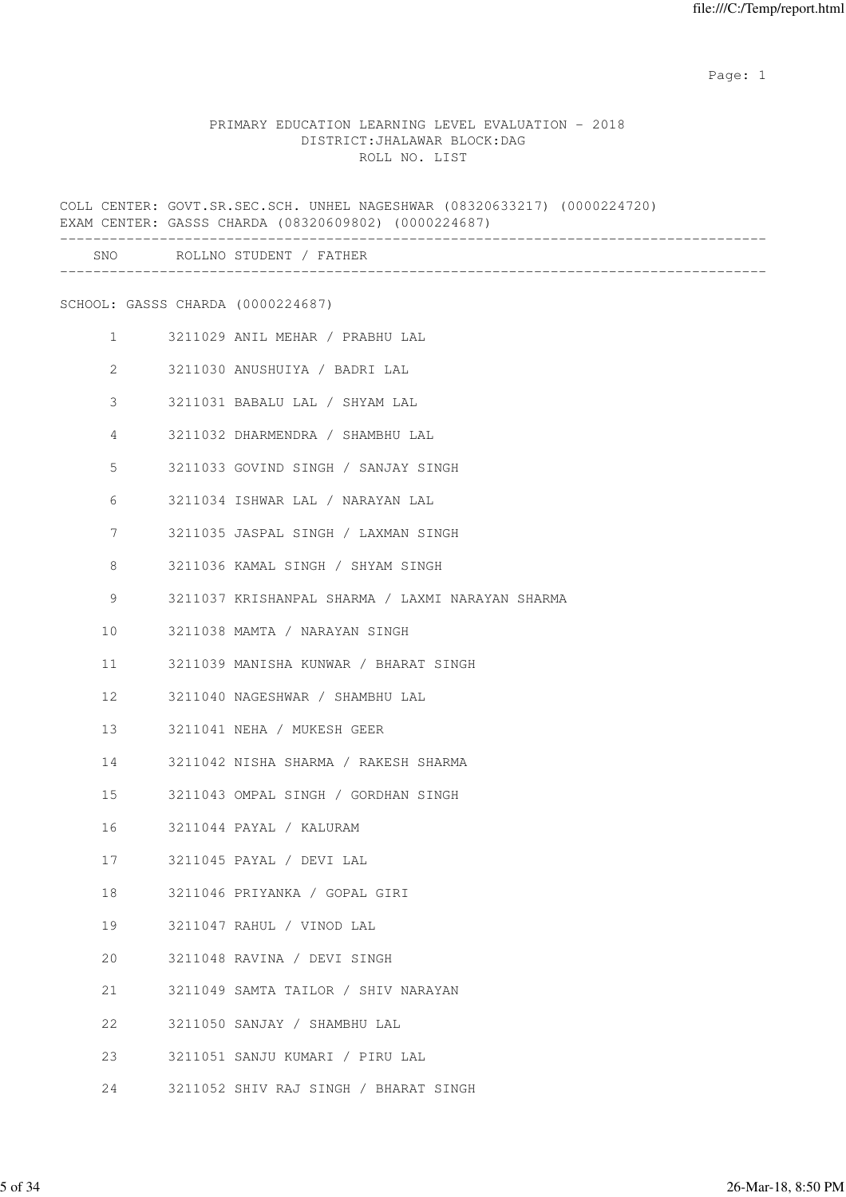#### PRIMARY EDUCATION LEARNING LEVEL EVALUATION - 2018 DISTRICT:JHALAWAR BLOCK:DAG ROLL NO. LIST

COLL CENTER: GOVT.SR.SEC.SCH. UNHEL NAGESHWAR (08320633217) (0000224720) EXAM CENTER: GASSS CHARDA (08320609802) (0000224687) ------------------------------------------------------------------------------------- SNO ROLLNO STUDENT / FATHER ------------------------------------------------------------------------------------- SCHOOL: GASSS CHARDA (0000224687) 1 3211029 ANIL MEHAR / PRABHU LAL 2 3211030 ANUSHUIYA / BADRI LAL 3 3211031 BABALU LAL / SHYAM LAL 4 3211032 DHARMENDRA / SHAMBHU LAL 5 3211033 GOVIND SINGH / SANJAY SINGH 6 3211034 ISHWAR LAL / NARAYAN LAL 7 3211035 JASPAL SINGH / LAXMAN SINGH 8 3211036 KAMAL SINGH / SHYAM SINGH 9 3211037 KRISHANPAL SHARMA / LAXMI NARAYAN SHARMA 10 3211038 MAMTA / NARAYAN SINGH 11 3211039 MANISHA KUNWAR / BHARAT SINGH 12 3211040 NAGESHWAR / SHAMBHU LAL 13 3211041 NEHA / MUKESH GEER 14 3211042 NISHA SHARMA / RAKESH SHARMA 15 3211043 OMPAL SINGH / GORDHAN SINGH 16 3211044 PAYAL / KALURAM 17 3211045 PAYAL / DEVI LAL 18 3211046 PRIYANKA / GOPAL GIRI 19 3211047 RAHUL / VINOD LAL 20 3211048 RAVINA / DEVI SINGH 21 3211049 SAMTA TAILOR / SHIV NARAYAN 22 3211050 SANJAY / SHAMBHU LAL 23 3211051 SANJU KUMARI / PIRU LAL

24 3211052 SHIV RAJ SINGH / BHARAT SINGH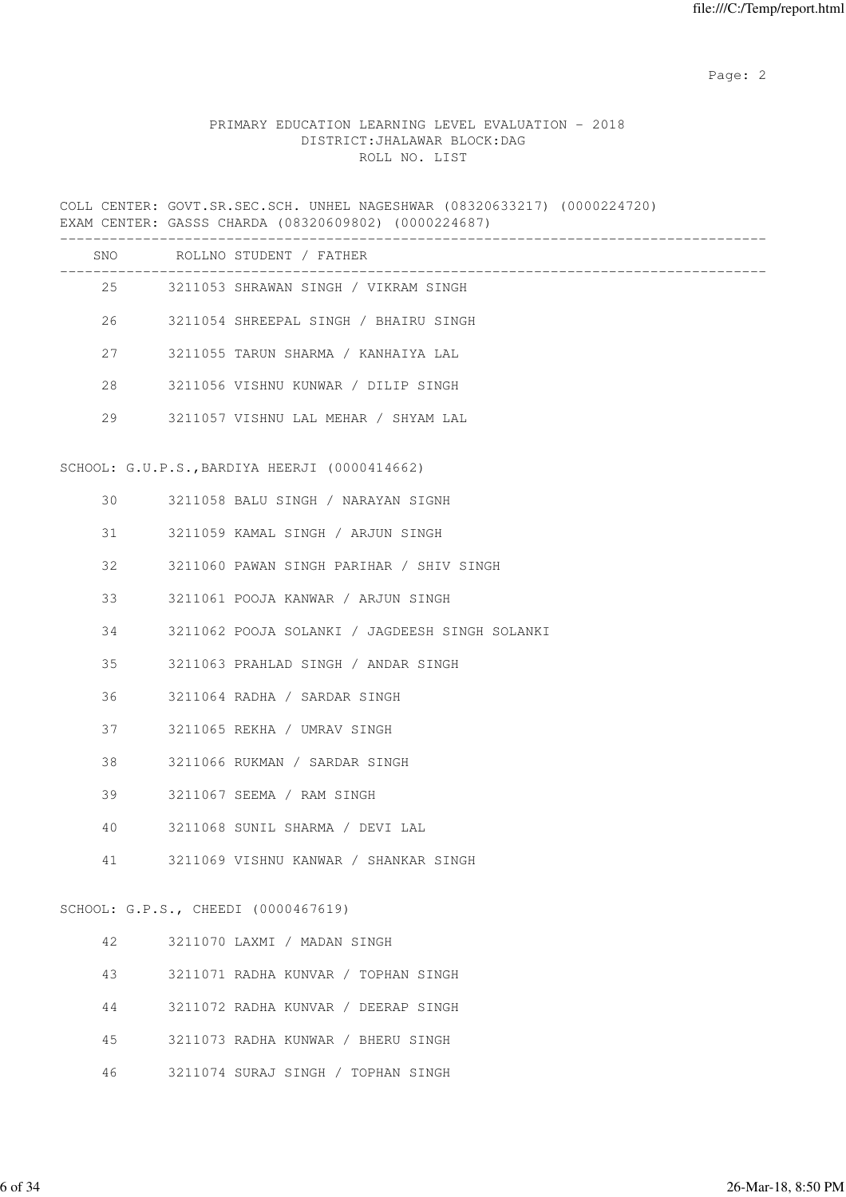## PRIMARY EDUCATION LEARNING LEVEL EVALUATION - 2018 DISTRICT:JHALAWAR BLOCK:DAG ROLL NO. LIST

COLL CENTER: GOVT.SR.SEC.SCH. UNHEL NAGESHWAR (08320633217) (0000224720) EXAM CENTER: GASSS CHARDA (08320609802) (0000224687)

|    | SNO ROLLNO STUDENT / FATHER                    |
|----|------------------------------------------------|
|    | 25 3211053 SHRAWAN SINGH / VIKRAM SINGH        |
| 26 | 3211054 SHREEPAL SINGH / BHAIRU SINGH          |
| 27 | 3211055 TARUN SHARMA / KANHAIYA LAL            |
| 28 | 3211056 VISHNU KUNWAR / DILIP SINGH            |
| 29 | 3211057 VISHNU LAL MEHAR / SHYAM LAL           |
|    | SCHOOL: G.U.P.S., BARDIYA HEERJI (0000414662)  |
| 30 | 3211058 BALU SINGH / NARAYAN SIGNH             |
| 31 | 3211059 KAMAL SINGH / ARJUN SINGH              |
| 32 | 3211060 PAWAN SINGH PARIHAR / SHIV SINGH       |
| 33 | 3211061 POOJA KANWAR / ARJUN SINGH             |
| 34 | 3211062 POOJA SOLANKI / JAGDEESH SINGH SOLANKI |
| 35 | 3211063 PRAHLAD SINGH / ANDAR SINGH            |
| 36 | 3211064 RADHA / SARDAR SINGH                   |
| 37 | 3211065 REKHA / UMRAV SINGH                    |
| 38 | 3211066 RUKMAN / SARDAR SINGH                  |
| 39 | 3211067 SEEMA / RAM SINGH                      |
| 40 | 3211068 SUNIL SHARMA / DEVI LAL                |
| 41 | 3211069 VISHNU KANWAR / SHANKAR SINGH          |
|    | SCHOOL: G.P.S., CHEEDI (0000467619)            |
| 42 | 3211070 LAXMI / MADAN SINGH                    |
| 43 | 3211071 RADHA KUNVAR / TOPHAN SINGH            |
| 44 | 3211072 RADHA KUNVAR / DEERAP SINGH            |
| 45 | 3211073 RADHA KUNWAR / BHERU SINGH             |

46 3211074 SURAJ SINGH / TOPHAN SINGH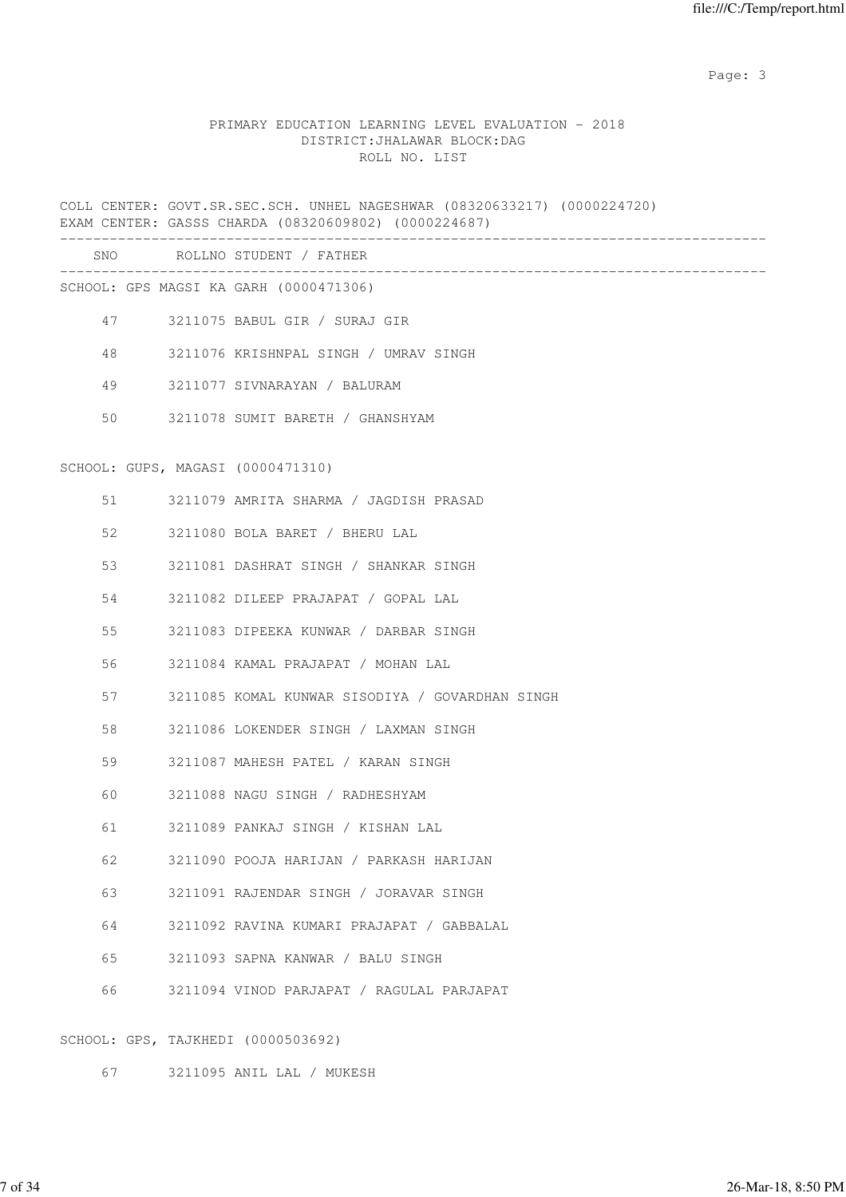Page: 3

## PRIMARY EDUCATION LEARNING LEVEL EVALUATION - 2018 DISTRICT:JHALAWAR BLOCK:DAG ROLL NO. LIST

COLL CENTER: GOVT.SR.SEC.SCH. UNHEL NAGESHWAR (08320633217) (0000224720) EXAM CENTER: GASSS CHARDA (08320609802) (0000224687) ------------------------------------------------------------------------------------- SNO ROLLNO STUDENT / FATHER ------------------------------------------------------------------------------------- SCHOOL: GPS MAGSI KA GARH (0000471306) 47 3211075 BABUL GIR / SURAJ GIR 48 3211076 KRISHNPAL SINGH / UMRAV SINGH 49 3211077 SIVNARAYAN / BALURAM 50 3211078 SUMIT BARETH / GHANSHYAM SCHOOL: GUPS, MAGASI (0000471310) 51 3211079 AMRITA SHARMA / JAGDISH PRASAD 52 3211080 BOLA BARET / BHERU LAL 53 3211081 DASHRAT SINGH / SHANKAR SINGH 54 3211082 DILEEP PRAJAPAT / GOPAL LAL 55 3211083 DIPEEKA KUNWAR / DARBAR SINGH 56 3211084 KAMAL PRAJAPAT / MOHAN LAL 57 3211085 KOMAL KUNWAR SISODIYA / GOVARDHAN SINGH 58 3211086 LOKENDER SINGH / LAXMAN SINGH 59 3211087 MAHESH PATEL / KARAN SINGH 60 3211088 NAGU SINGH / RADHESHYAM 61 3211089 PANKAJ SINGH / KISHAN LAL 62 3211090 POOJA HARIJAN / PARKASH HARIJAN 63 3211091 RAJENDAR SINGH / JORAVAR SINGH 64 3211092 RAVINA KUMARI PRAJAPAT / GABBALAL 65 3211093 SAPNA KANWAR / BALU SINGH 66 3211094 VINOD PARJAPAT / RAGULAL PARJAPAT SCHOOL: GPS, TAJKHEDI (0000503692)

67 3211095 ANIL LAL / MUKESH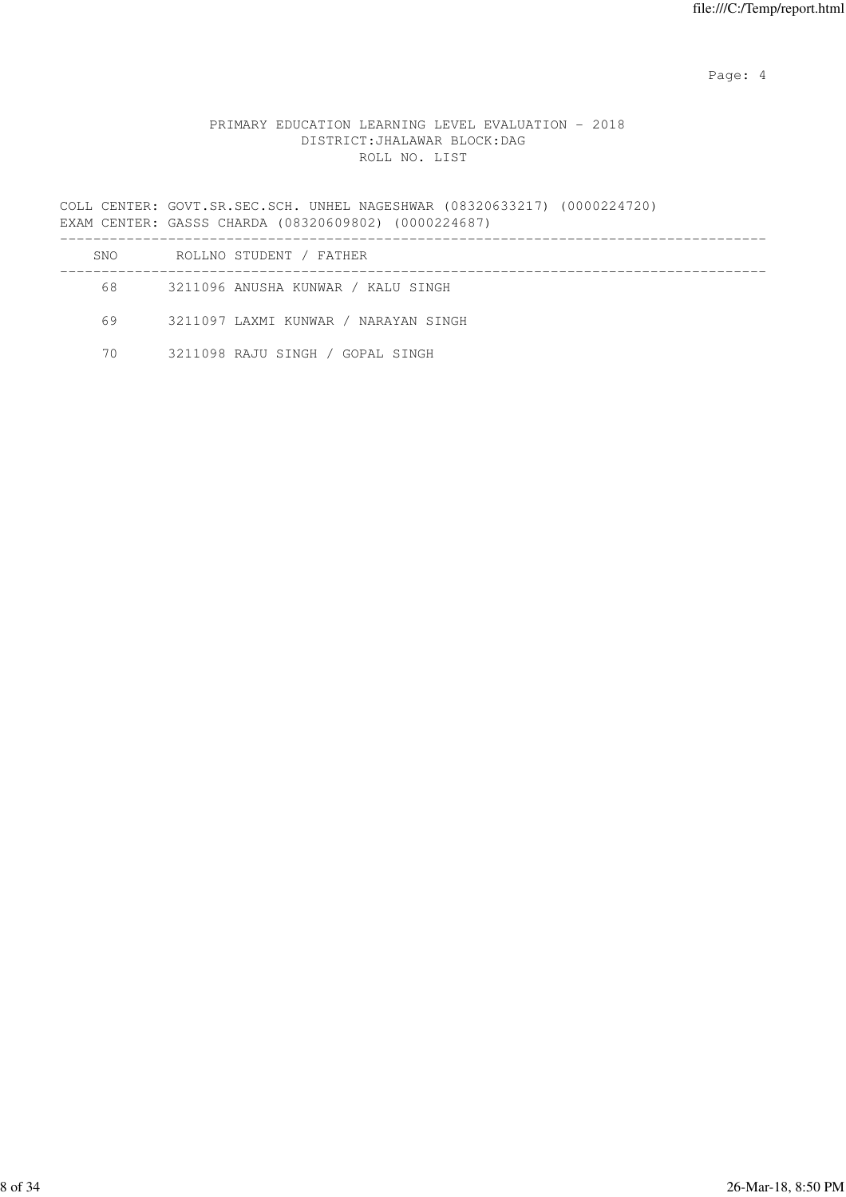Page: 4  $P$ 

## PRIMARY EDUCATION LEARNING LEVEL EVALUATION - 2018 DISTRICT:JHALAWAR BLOCK:DAG ROLL NO. LIST

COLL CENTER: GOVT.SR.SEC.SCH. UNHEL NAGESHWAR (08320633217) (0000224720) EXAM CENTER: GASSS CHARDA (08320609802) (0000224687) -------------------------------------------------------------------------------------

| SNO  | ROLLNO STUDENT / FATHER              |
|------|--------------------------------------|
| 68 - | 3211096 ANUSHA KUNWAR / KALU SINGH   |
| 69   | 3211097 LAXMI KUNWAR / NARAYAN SINGH |
| 70   | 3211098 RAJU SINGH / GOPAL SINGH     |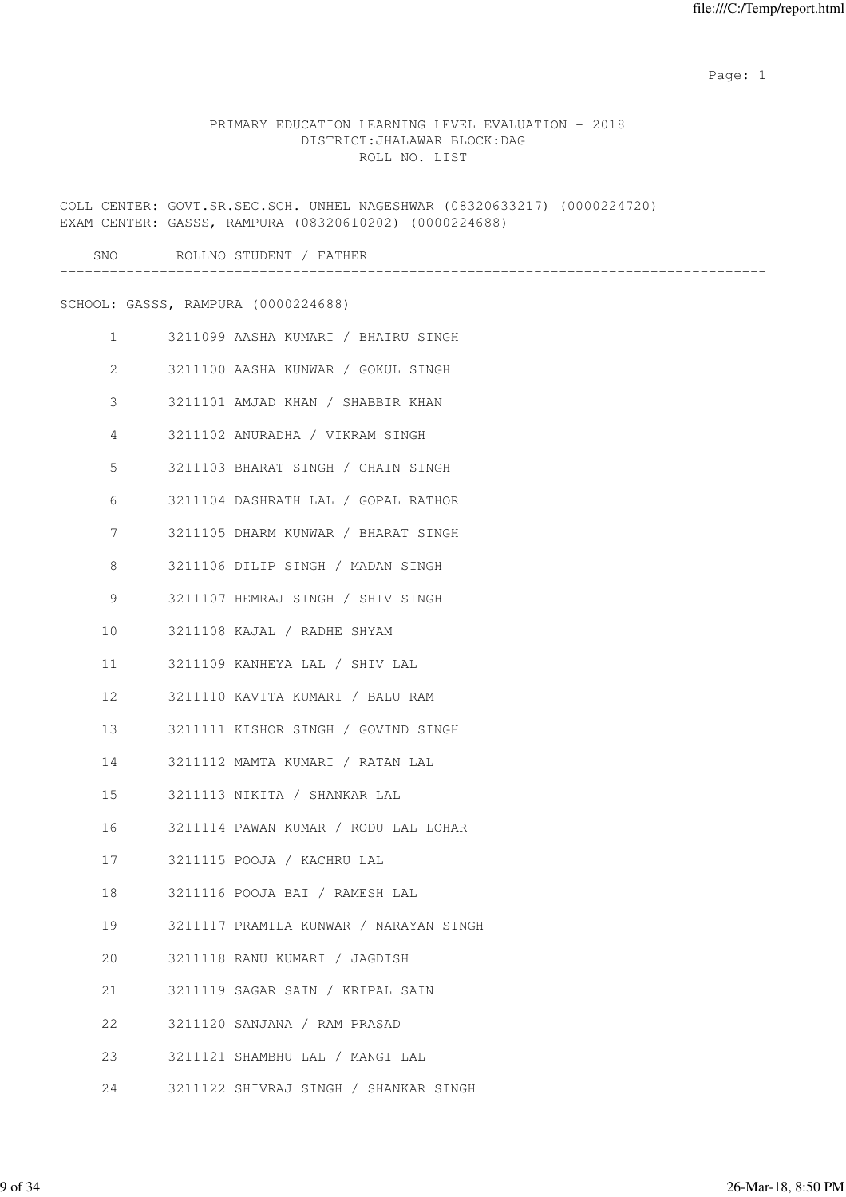## PRIMARY EDUCATION LEARNING LEVEL EVALUATION - 2018 DISTRICT:JHALAWAR BLOCK:DAG ROLL NO. LIST

COLL CENTER: GOVT.SR.SEC.SCH. UNHEL NAGESHWAR (08320633217) (0000224720) EXAM CENTER: GASSS, RAMPURA (08320610202) (0000224688) ------------------------------------------------------------------------------------- SNO ROLLNO STUDENT / FATHER ------------------------------------------------------------------------------------- SCHOOL: GASSS, RAMPURA (0000224688) 1 3211099 AASHA KUMARI / BHAIRU SINGH 2 3211100 AASHA KUNWAR / GOKUL SINGH 3 3211101 AMJAD KHAN / SHABBIR KHAN 4 3211102 ANURADHA / VIKRAM SINGH 5 3211103 BHARAT SINGH / CHAIN SINGH 6 3211104 DASHRATH LAL / GOPAL RATHOR 7 3211105 DHARM KUNWAR / BHARAT SINGH 8 3211106 DILIP SINGH / MADAN SINGH 9 3211107 HEMRAJ SINGH / SHIV SINGH 10 3211108 KAJAL / RADHE SHYAM 11 3211109 KANHEYA LAL / SHIV LAL 12 3211110 KAVITA KUMARI / BALU RAM 13 3211111 KISHOR SINGH / GOVIND SINGH 14 3211112 MAMTA KUMARI / RATAN LAL 15 3211113 NIKITA / SHANKAR LAL 16 3211114 PAWAN KUMAR / RODU LAL LOHAR 17 3211115 POOJA / KACHRU LAL 18 3211116 POOJA BAI / RAMESH LAL 19 3211117 PRAMILA KUNWAR / NARAYAN SINGH 20 3211118 RANU KUMARI / JAGDISH 21 3211119 SAGAR SAIN / KRIPAL SAIN 22 3211120 SANJANA / RAM PRASAD 23 3211121 SHAMBHU LAL / MANGI LAL 24 3211122 SHIVRAJ SINGH / SHANKAR SINGH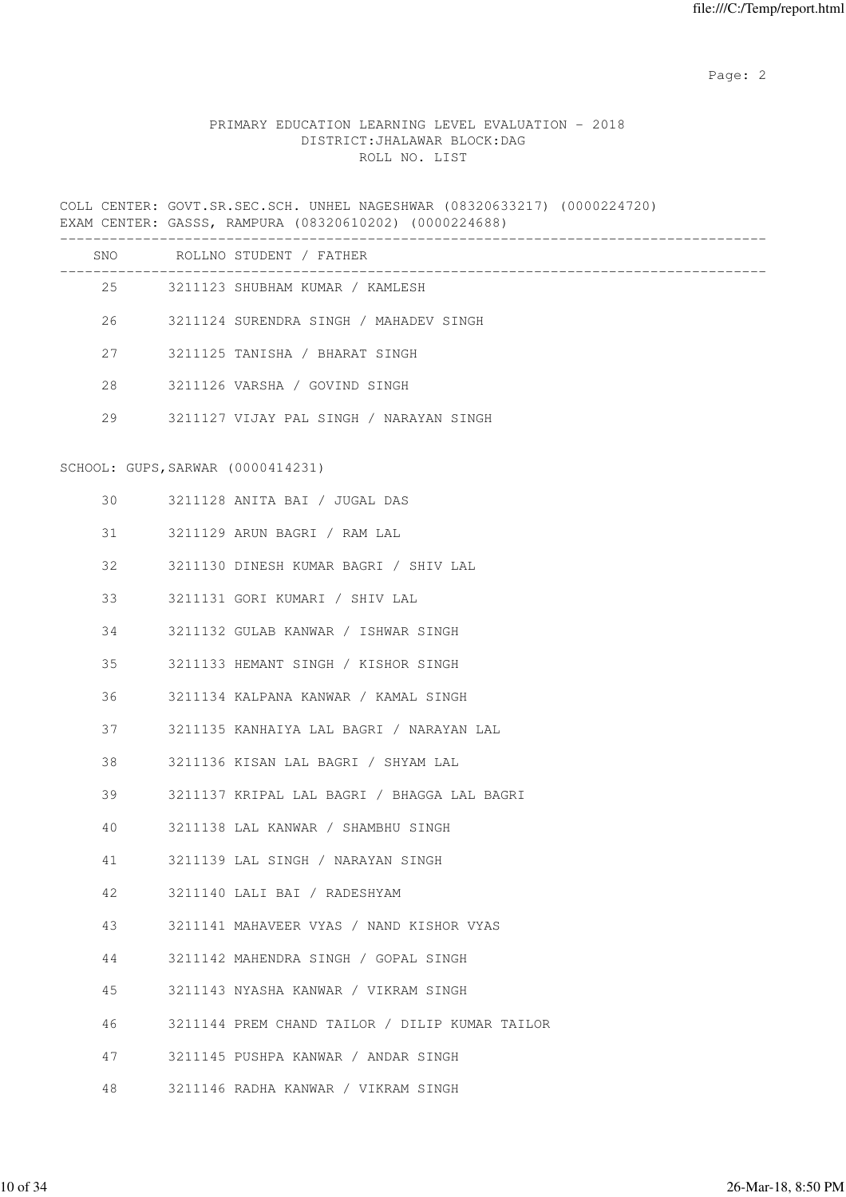## PRIMARY EDUCATION LEARNING LEVEL EVALUATION - 2018 DISTRICT:JHALAWAR BLOCK:DAG ROLL NO. LIST

COLL CENTER: GOVT.SR.SEC.SCH. UNHEL NAGESHWAR (08320633217) (0000224720) EXAM CENTER: GASSS, RAMPURA (08320610202) (0000224688)

|    |                                   | SNO ROLLNO STUDENT / FATHER                    |
|----|-----------------------------------|------------------------------------------------|
|    |                                   | 25 3211123 SHUBHAM KUMAR / KAMLESH             |
| 26 |                                   | 3211124 SURENDRA SINGH / MAHADEV SINGH         |
| 27 |                                   | 3211125 TANISHA / BHARAT SINGH                 |
| 28 |                                   | 3211126 VARSHA / GOVIND SINGH                  |
| 29 |                                   | 3211127 VIJAY PAL SINGH / NARAYAN SINGH        |
|    | SCHOOL: GUPS, SARWAR (0000414231) |                                                |
|    |                                   |                                                |
| 30 |                                   | 3211128 ANITA BAI / JUGAL DAS                  |
| 31 |                                   | 3211129 ARUN BAGRI / RAM LAL                   |
| 32 |                                   | 3211130 DINESH KUMAR BAGRI / SHIV LAL          |
| 33 |                                   | 3211131 GORI KUMARI / SHIV LAL                 |
| 34 |                                   | 3211132 GULAB KANWAR / ISHWAR SINGH            |
| 35 |                                   | 3211133 HEMANT SINGH / KISHOR SINGH            |
| 36 |                                   | 3211134 KALPANA KANWAR / KAMAL SINGH           |
| 37 |                                   | 3211135 KANHAIYA LAL BAGRI / NARAYAN LAL       |
| 38 |                                   | 3211136 KISAN LAL BAGRI / SHYAM LAL            |
| 39 |                                   | 3211137 KRIPAL LAL BAGRI / BHAGGA LAL BAGRI    |
| 40 |                                   | 3211138 LAL KANWAR / SHAMBHU SINGH             |
| 41 |                                   | 3211139 LAL SINGH / NARAYAN SINGH              |
| 42 |                                   | 3211140 LALI BAI / RADESHYAM                   |
| 43 |                                   | 3211141 MAHAVEER VYAS / NAND KISHOR VYAS       |
| 44 |                                   | 3211142 MAHENDRA SINGH / GOPAL SINGH           |
| 45 |                                   | 3211143 NYASHA KANWAR / VIKRAM SINGH           |
| 46 |                                   | 3211144 PREM CHAND TAILOR / DILIP KUMAR TAILOR |
| 47 |                                   | 3211145 PUSHPA KANWAR / ANDAR SINGH            |
| 48 |                                   | 3211146 RADHA KANWAR / VIKRAM SINGH            |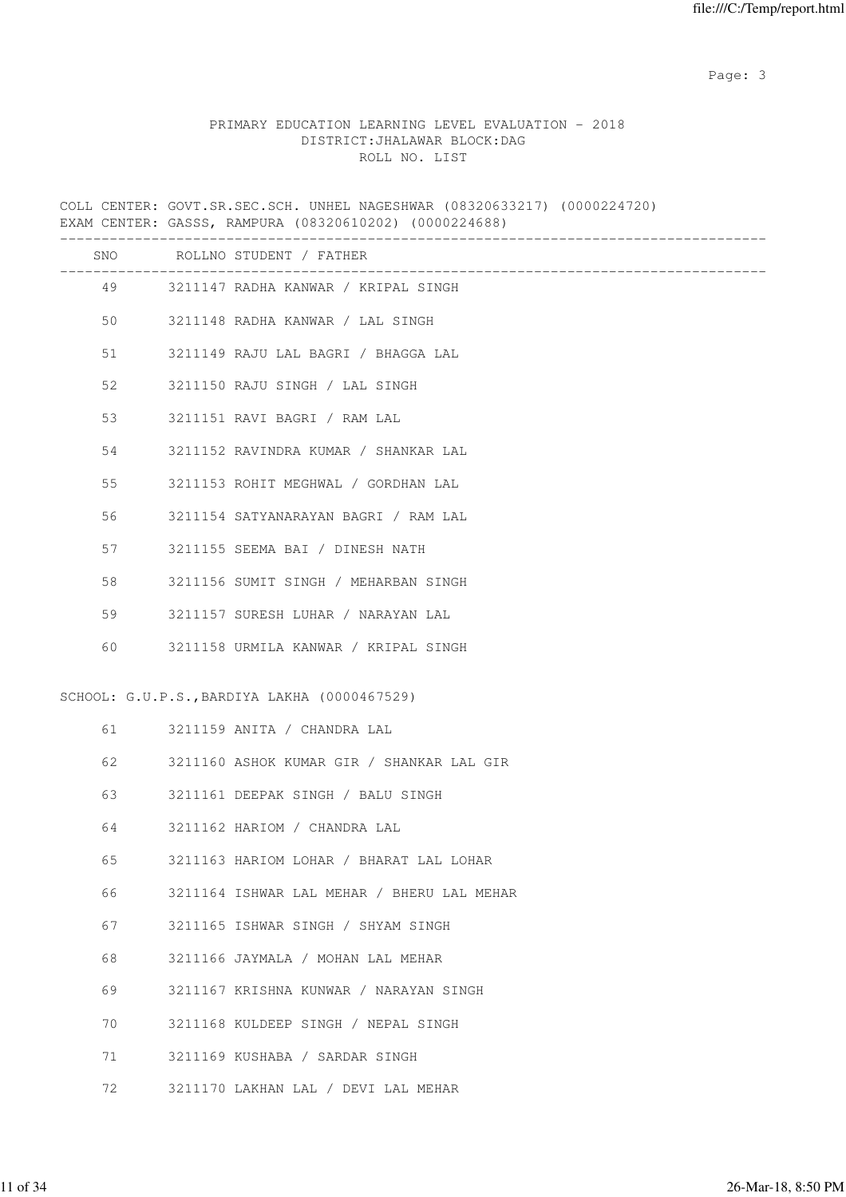Page: 3

## PRIMARY EDUCATION LEARNING LEVEL EVALUATION - 2018 DISTRICT:JHALAWAR BLOCK:DAG ROLL NO. LIST

COLL CENTER: GOVT.SR.SEC.SCH. UNHEL NAGESHWAR (08320633217) (0000224720) EXAM CENTER: GASSS, RAMPURA (08320610202) (0000224688)

|     | ________________________________             |
|-----|----------------------------------------------|
| SNO | ROLLNO STUDENT / FATHER                      |
|     | 49 3211147 RADHA KANWAR / KRIPAL SINGH       |
| 50  | 3211148 RADHA KANWAR / LAL SINGH             |
| 51  | 3211149 RAJU LAL BAGRI / BHAGGA LAL          |
| 52  | 3211150 RAJU SINGH / LAL SINGH               |
| 53  | 3211151 RAVI BAGRI / RAM LAL                 |
| 54  | 3211152 RAVINDRA KUMAR / SHANKAR LAL         |
| 55  | 3211153 ROHIT MEGHWAL / GORDHAN LAL          |
| 56  | 3211154 SATYANARAYAN BAGRI / RAM LAL         |
| 57  | 3211155 SEEMA BAI / DINESH NATH              |
| 58  | 3211156 SUMIT SINGH / MEHARBAN SINGH         |
| 59  | 3211157 SURESH LUHAR / NARAYAN LAL           |
| 60  | 3211158 URMILA KANWAR / KRIPAL SINGH         |
|     |                                              |
|     | SCHOOL: G.U.P.S., BARDIYA LAKHA (0000467529) |
| 61  | 3211159 ANITA / CHANDRA LAL                  |
| 62  | 3211160 ASHOK KUMAR GIR / SHANKAR LAL GIR    |
| 63  | 3211161 DEEPAK SINGH / BALU SINGH            |
| 64  | 3211162 HARIOM / CHANDRA LAL                 |
| 65  | 3211163 HARIOM LOHAR / BHARAT LAL LOHAR      |
| 66  | 3211164 ISHWAR LAL MEHAR / BHERU LAL MEHAR   |
| 67  | 3211165 ISHWAR SINGH / SHYAM SINGH           |
| 68  | 3211166 JAYMALA / MOHAN LAL MEHAR            |
| 69  | 3211167 KRISHNA KUNWAR / NARAYAN SINGH       |
| 70  | 3211168 KULDEEP SINGH / NEPAL SINGH          |
| 71  | 3211169 KUSHABA / SARDAR SINGH               |
| 72  | 3211170 LAKHAN LAL / DEVI LAL MEHAR          |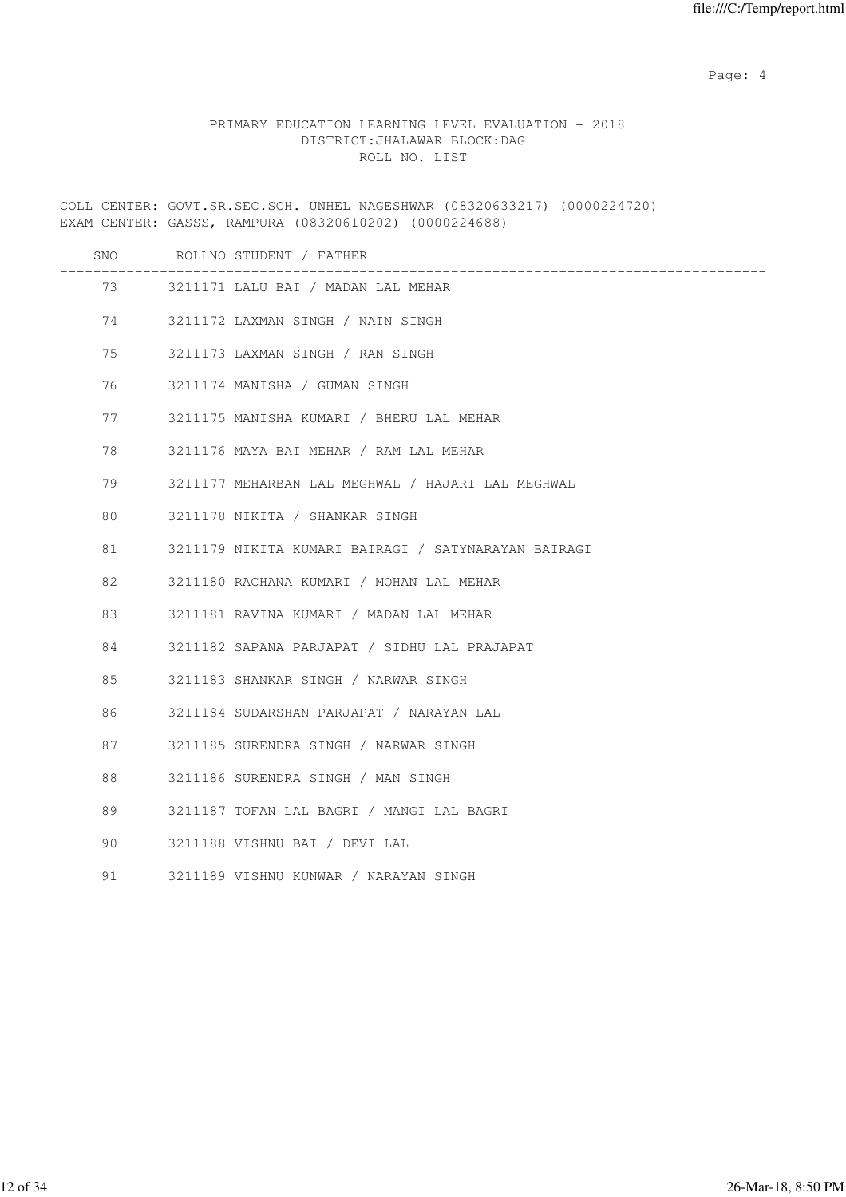Page: 4  $P$ 

## PRIMARY EDUCATION LEARNING LEVEL EVALUATION - 2018 DISTRICT:JHALAWAR BLOCK:DAG ROLL NO. LIST

COLL CENTER: GOVT.SR.SEC.SCH. UNHEL NAGESHWAR (08320633217) (0000224720) EXAM CENTER: GASSS, RAMPURA (08320610202) (0000224688)

|    |                                                                                                                                                                                                                                 | SNO ROLLNO STUDENT / FATHER                         |
|----|---------------------------------------------------------------------------------------------------------------------------------------------------------------------------------------------------------------------------------|-----------------------------------------------------|
|    |                                                                                                                                                                                                                                 | 73 3211171 LALU BAI / MADAN LAL MEHAR               |
|    | 74 — 200                                                                                                                                                                                                                        | 3211172 LAXMAN SINGH / NAIN SINGH                   |
| 75 |                                                                                                                                                                                                                                 | 3211173 LAXMAN SINGH / RAN SINGH                    |
|    | 76 — 176 — 176 — 176 — 176 — 176 — 176 — 176 — 177 — 178 — 178 — 178 — 178 — 179 — 179 — 179 — 179 — 179 — 179 — 179 — 179 — 179 — 179 — 179 — 179 — 179 — 179 — 179 — 179 — 179 — 179 — 179 — 179 — 179 — 179 — 179 — 179 — 17 | 3211174 MANISHA / GUMAN SINGH                       |
|    | 77                                                                                                                                                                                                                              | 3211175 MANISHA KUMARI / BHERU LAL MEHAR            |
| 78 |                                                                                                                                                                                                                                 | 3211176 MAYA BAI MEHAR / RAM LAL MEHAR              |
| 79 |                                                                                                                                                                                                                                 | 3211177 MEHARBAN LAL MEGHWAL / HAJARI LAL MEGHWAL   |
| 80 |                                                                                                                                                                                                                                 | 3211178 NIKITA / SHANKAR SINGH                      |
| 81 |                                                                                                                                                                                                                                 | 3211179 NIKITA KUMARI BAIRAGI / SATYNARAYAN BAIRAGI |
| 82 |                                                                                                                                                                                                                                 | 3211180 RACHANA KUMARI / MOHAN LAL MEHAR            |
| 83 |                                                                                                                                                                                                                                 | 3211181 RAVINA KUMARI / MADAN LAL MEHAR             |
| 84 |                                                                                                                                                                                                                                 | 3211182 SAPANA PARJAPAT / SIDHU LAL PRAJAPAT        |
| 85 |                                                                                                                                                                                                                                 | 3211183 SHANKAR SINGH / NARWAR SINGH                |
| 86 |                                                                                                                                                                                                                                 | 3211184 SUDARSHAN PARJAPAT / NARAYAN LAL            |
| 87 |                                                                                                                                                                                                                                 | 3211185 SURENDRA SINGH / NARWAR SINGH               |
| 88 |                                                                                                                                                                                                                                 | 3211186 SURENDRA SINGH / MAN SINGH                  |
| 89 |                                                                                                                                                                                                                                 | 3211187 TOFAN LAL BAGRI / MANGI LAL BAGRI           |
| 90 |                                                                                                                                                                                                                                 | 3211188 VISHNU BAI / DEVI LAL                       |
| 91 |                                                                                                                                                                                                                                 | 3211189 VISHNU KUNWAR / NARAYAN SINGH               |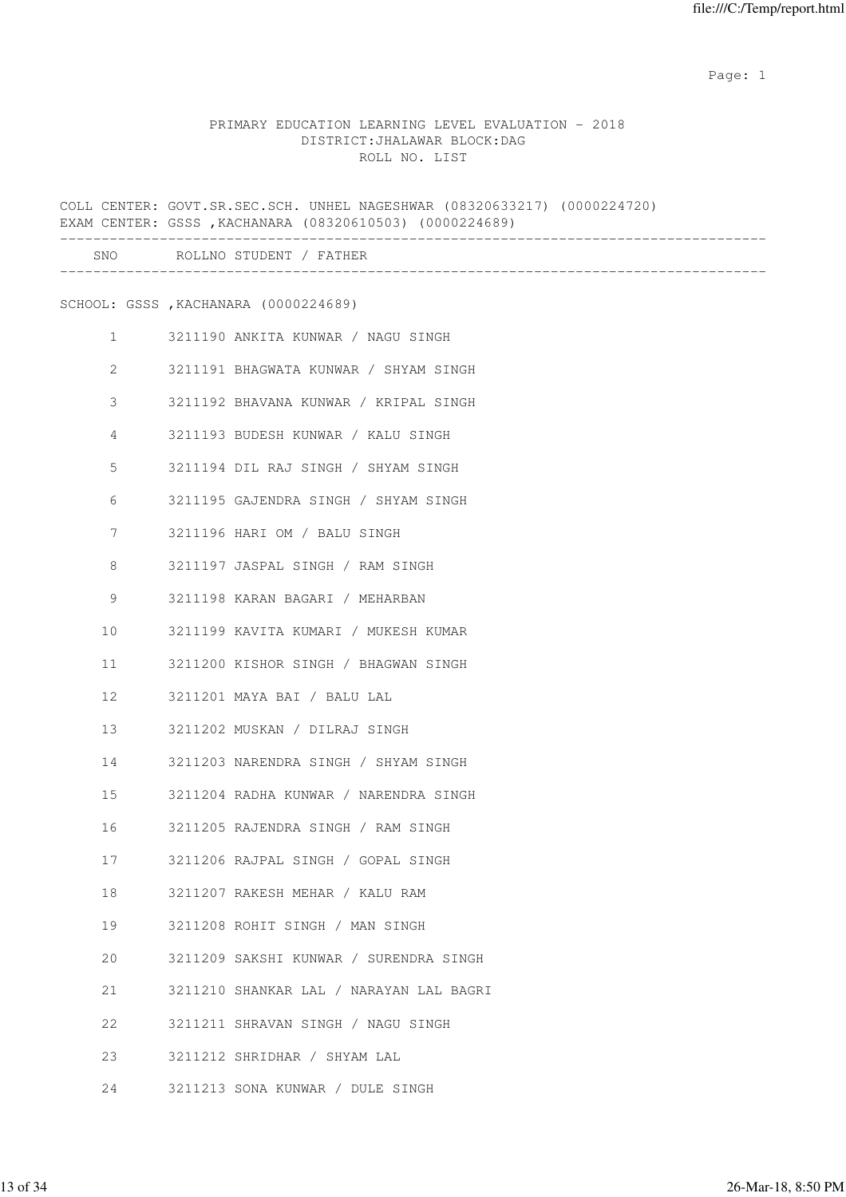## PRIMARY EDUCATION LEARNING LEVEL EVALUATION - 2018 DISTRICT:JHALAWAR BLOCK:DAG ROLL NO. LIST

COLL CENTER: GOVT.SR.SEC.SCH. UNHEL NAGESHWAR (08320633217) (0000224720) EXAM CENTER: GSSS ,KACHANARA (08320610503) (0000224689) ------------------------------------------------------------------------------------- SNO ROLLNO STUDENT / FATHER ------------------------------------------------------------------------------------- SCHOOL: GSSS ,KACHANARA (0000224689) 1 3211190 ANKITA KUNWAR / NAGU SINGH 2 3211191 BHAGWATA KUNWAR / SHYAM SINGH 3 3211192 BHAVANA KUNWAR / KRIPAL SINGH 4 3211193 BUDESH KUNWAR / KALU SINGH 5 3211194 DIL RAJ SINGH / SHYAM SINGH 6 3211195 GAJENDRA SINGH / SHYAM SINGH 7 3211196 HARI OM / BALU SINGH 8 3211197 JASPAL SINGH / RAM SINGH 9 3211198 KARAN BAGARI / MEHARBAN 10 3211199 KAVITA KUMARI / MUKESH KUMAR 11 3211200 KISHOR SINGH / BHAGWAN SINGH 12 3211201 MAYA BAI / BALU LAL 13 3211202 MUSKAN / DILRAJ SINGH 14 3211203 NARENDRA SINGH / SHYAM SINGH 15 3211204 RADHA KUNWAR / NARENDRA SINGH 16 3211205 RAJENDRA SINGH / RAM SINGH 17 3211206 RAJPAL SINGH / GOPAL SINGH 18 3211207 RAKESH MEHAR / KALU RAM 19 3211208 ROHIT SINGH / MAN SINGH 20 3211209 SAKSHI KUNWAR / SURENDRA SINGH 21 3211210 SHANKAR LAL / NARAYAN LAL BAGRI 22 3211211 SHRAVAN SINGH / NAGU SINGH 23 3211212 SHRIDHAR / SHYAM LAL 24 3211213 SONA KUNWAR / DULE SINGH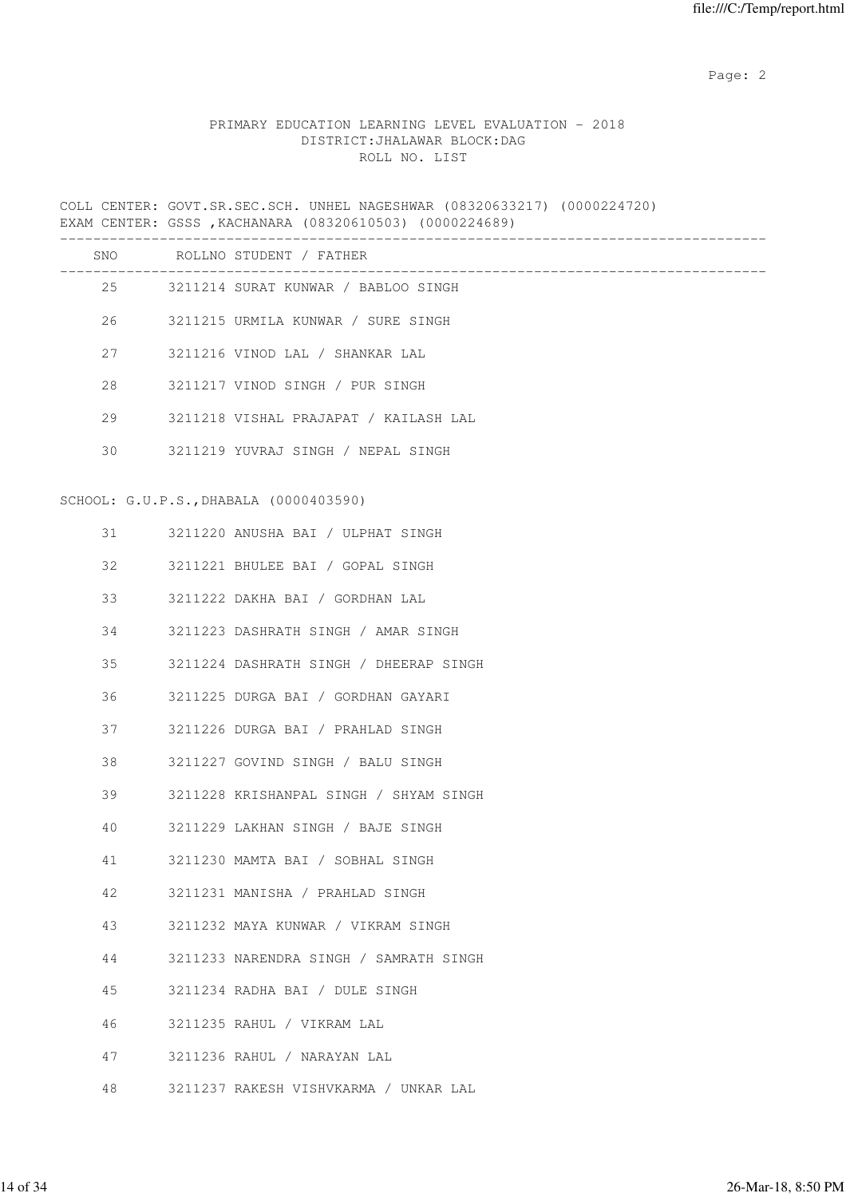## PRIMARY EDUCATION LEARNING LEVEL EVALUATION - 2018 DISTRICT:JHALAWAR BLOCK:DAG ROLL NO. LIST

COLL CENTER: GOVT.SR.SEC.SCH. UNHEL NAGESHWAR (08320633217) (0000224720) EXAM CENTER: GSSS ,KACHANARA (08320610503) (0000224689)

|    |    | SNO ROLLNO STUDENT / FATHER            |
|----|----|----------------------------------------|
|    |    | 25 3211214 SURAT KUNWAR / BABLOO SINGH |
|    |    | 26 3211215 URMILA KUNWAR / SURE SINGH  |
|    | 27 | 3211216 VINOD LAL / SHANKAR LAL        |
| 28 |    | 3211217 VINOD SINGH / PUR SINGH        |
|    | 29 | 3211218 VISHAL PRAJAPAT / KAILASH LAL  |
| 30 |    | 3211219 YUVRAJ SINGH / NEPAL SINGH     |
|    |    | SCHOOL: G.U.P.S., DHABALA (0000403590) |
|    |    | 31 3211220 ANUSHA BAI / ULPHAT SINGH   |
| 32 |    | 3211221 BHULEE BAI / GOPAL SINGH       |
| 33 |    | 3211222 DAKHA BAI / GORDHAN LAL        |
| 34 |    | 3211223 DASHRATH SINGH / AMAR SINGH    |
| 35 |    | 3211224 DASHRATH SINGH / DHEERAP SINGH |
| 36 |    | 3211225 DURGA BAI / GORDHAN GAYARI     |
| 37 |    | 3211226 DURGA BAI / PRAHLAD SINGH      |
| 38 |    | 3211227 GOVIND SINGH / BALU SINGH      |
|    | 39 | 3211228 KRISHANPAL SINGH / SHYAM SINGH |
| 40 |    | 3211229 LAKHAN SINGH / BAJE SINGH      |
| 41 |    | 3211230 MAMTA BAI / SOBHAL SINGH       |
| 42 |    | 3211231 MANISHA / PRAHLAD SINGH        |
| 43 |    | 3211232 MAYA KUNWAR / VIKRAM SINGH     |
| 44 |    | 3211233 NARENDRA SINGH / SAMRATH SINGH |
| 45 |    | 3211234 RADHA BAI / DULE SINGH         |
| 46 |    | 3211235 RAHUL / VIKRAM LAL             |
| 47 |    | 3211236 RAHUL / NARAYAN LAL            |
| 48 |    | 3211237 RAKESH VISHVKARMA / UNKAR LAL  |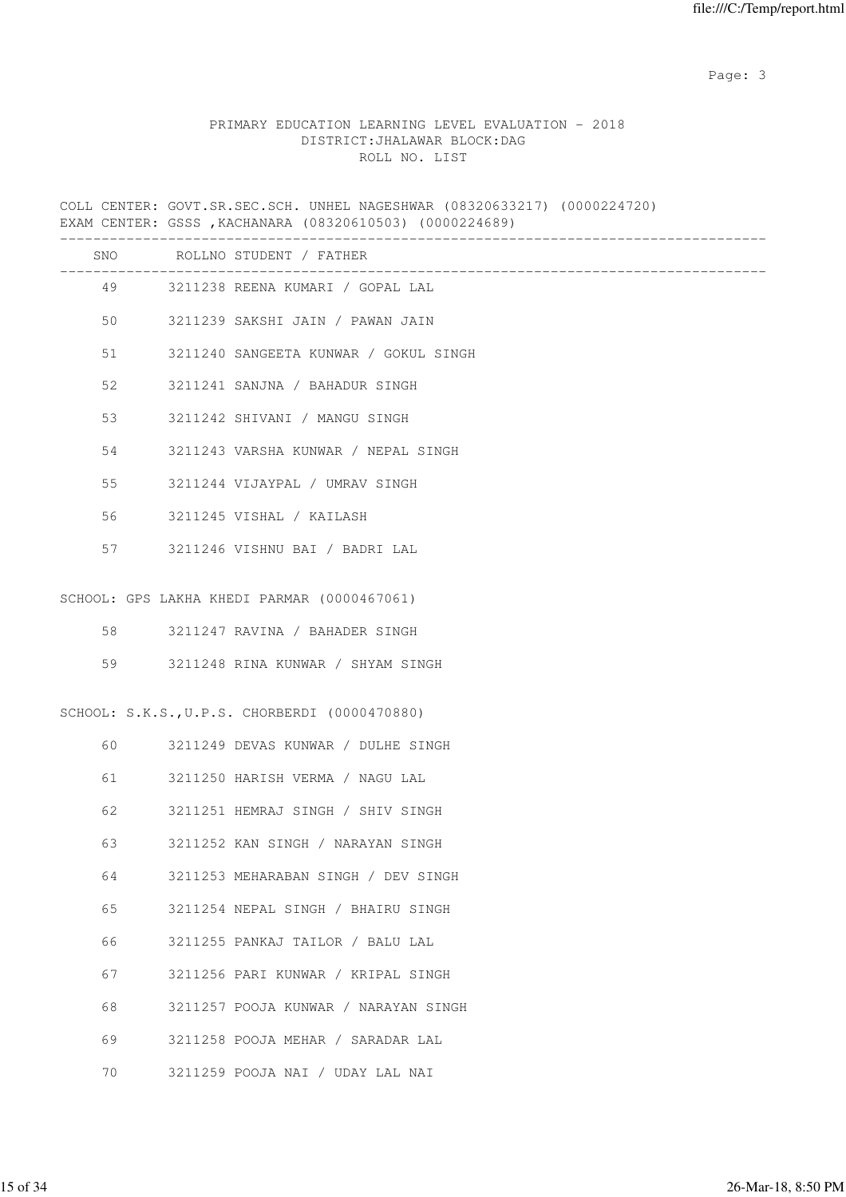Page: 3

## PRIMARY EDUCATION LEARNING LEVEL EVALUATION - 2018 DISTRICT:JHALAWAR BLOCK:DAG ROLL NO. LIST

COLL CENTER: GOVT.SR.SEC.SCH. UNHEL NAGESHWAR (08320633217) (0000224720) EXAM CENTER: GSSS ,KACHANARA (08320610503) (0000224689)

|    | SNO ROLLNO STUDENT / FATHER                   |
|----|-----------------------------------------------|
|    | 49 3211238 REENA KUMARI / GOPAL LAL           |
| 50 | 3211239 SAKSHI JAIN / PAWAN JAIN              |
| 51 | 3211240 SANGEETA KUNWAR / GOKUL SINGH         |
| 52 | 3211241 SANJNA / BAHADUR SINGH                |
| 53 | 3211242 SHIVANI / MANGU SINGH                 |
| 54 | 3211243 VARSHA KUNWAR / NEPAL SINGH           |
| 55 | 3211244 VIJAYPAL / UMRAV SINGH                |
| 56 | 3211245 VISHAL / KAILASH                      |
| 57 | 3211246 VISHNU BAI / BADRI LAL                |
|    | SCHOOL: GPS LAKHA KHEDI PARMAR (0000467061)   |
|    |                                               |
| 58 | 3211247 RAVINA / BAHADER SINGH                |
| 59 | 3211248 RINA KUNWAR / SHYAM SINGH             |
|    | SCHOOL: S.K.S., U.P.S. CHORBERDI (0000470880) |
| 60 | 3211249 DEVAS KUNWAR / DULHE SINGH            |
| 61 | 3211250 HARISH VERMA / NAGU LAL               |
| 62 | 3211251 HEMRAJ SINGH / SHIV SINGH             |
| 63 | 3211252 KAN SINGH / NARAYAN SINGH             |
| 64 | 3211253 MEHARABAN SINGH / DEV SINGH           |
| 65 | 3211254 NEPAL SINGH / BHAIRU SINGH            |
| 66 | 3211255 PANKAJ TAILOR / BALU LAL              |
| 67 | 3211256 PARI KUNWAR / KRIPAL SINGH            |
| 68 | 3211257 POOJA KUNWAR / NARAYAN SINGH          |
| 69 | 3211258 POOJA MEHAR / SARADAR LAL             |
| 70 | 3211259 POOJA NAI / UDAY LAL NAI              |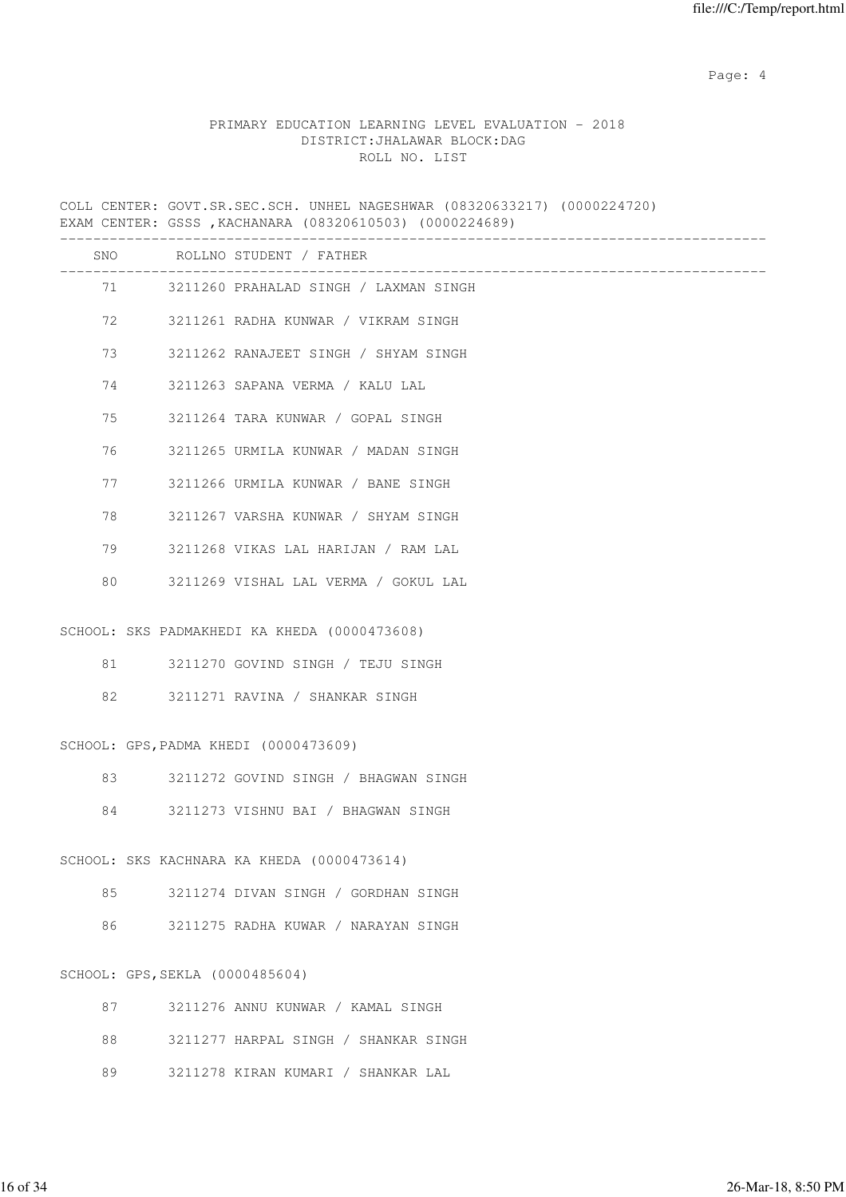Page: 4  $P$ 

## PRIMARY EDUCATION LEARNING LEVEL EVALUATION - 2018 DISTRICT:JHALAWAR BLOCK:DAG ROLL NO. LIST

COLL CENTER: GOVT.SR.SEC.SCH. UNHEL NAGESHWAR (08320633217) (0000224720) EXAM CENTER: GSSS ,KACHANARA (08320610503) (0000224689)

|    |                                 | SNO ROLLNO STUDENT / FATHER                  |
|----|---------------------------------|----------------------------------------------|
|    |                                 | 71 3211260 PRAHALAD SINGH / LAXMAN SINGH     |
| 72 |                                 | 3211261 RADHA KUNWAR / VIKRAM SINGH          |
| 73 |                                 | 3211262 RANAJEET SINGH / SHYAM SINGH         |
| 74 |                                 | 3211263 SAPANA VERMA / KALU LAL              |
| 75 |                                 | 3211264 TARA KUNWAR / GOPAL SINGH            |
| 76 |                                 | 3211265 URMILA KUNWAR / MADAN SINGH          |
| 77 |                                 | 3211266 URMILA KUNWAR / BANE SINGH           |
| 78 |                                 | 3211267 VARSHA KUNWAR / SHYAM SINGH          |
| 79 |                                 | 3211268 VIKAS LAL HARIJAN / RAM LAL          |
| 80 |                                 | 3211269 VISHAL LAL VERMA / GOKUL LAL         |
|    |                                 |                                              |
|    |                                 | SCHOOL: SKS PADMAKHEDI KA KHEDA (0000473608) |
| 81 |                                 | 3211270 GOVIND SINGH / TEJU SINGH            |
| 82 |                                 | 3211271 RAVINA / SHANKAR SINGH               |
|    |                                 | SCHOOL: GPS, PADMA KHEDI (0000473609)        |
|    |                                 |                                              |
| 83 |                                 | 3211272 GOVIND SINGH / BHAGWAN SINGH         |
| 84 |                                 | 3211273 VISHNU BAI / BHAGWAN SINGH           |
|    |                                 | SCHOOL: SKS KACHNARA KA KHEDA (0000473614)   |
| 85 |                                 | 3211274 DIVAN SINGH / GORDHAN SINGH          |
| 86 |                                 | 3211275 RADHA KUWAR / NARAYAN SINGH          |
|    |                                 |                                              |
|    | SCHOOL: GPS, SEKLA (0000485604) |                                              |
| 87 |                                 | 3211276 ANNU KUNWAR / KAMAL SINGH            |
| 88 |                                 | 3211277 HARPAL SINGH / SHANKAR SINGH         |

89 3211278 KIRAN KUMARI / SHANKAR LAL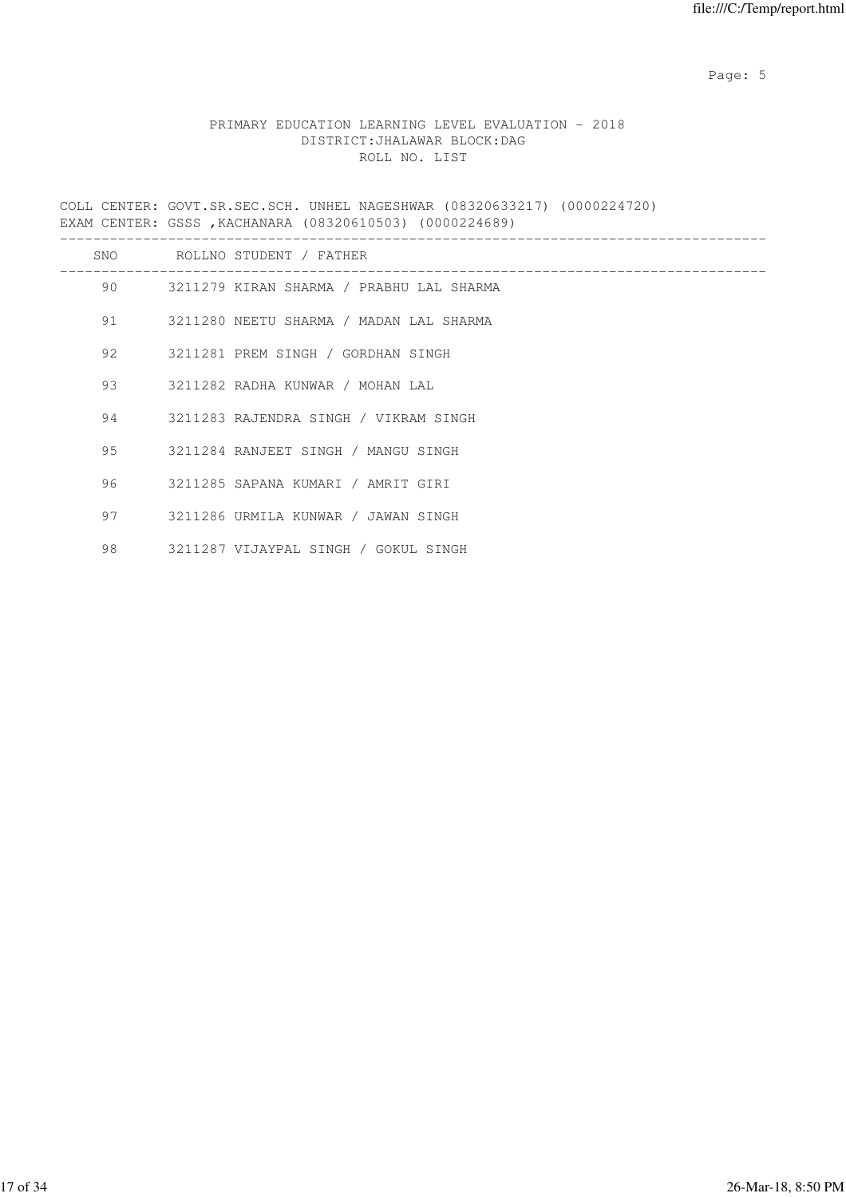Page: 5  $P$  and  $P$  and  $P$  and  $P$  and  $P$  and  $P$  and  $P$  and  $P$  and  $P$  and  $P$  and  $P$  and  $P$  and  $P$  and  $P$  and  $P$  and  $P$  and  $P$  and  $P$  and  $P$  and  $P$  and  $P$  and  $P$  and  $P$  and  $P$  and  $P$  and  $P$  and  $P$  an

## PRIMARY EDUCATION LEARNING LEVEL EVALUATION - 2018 DISTRICT:JHALAWAR BLOCK:DAG ROLL NO. LIST

COLL CENTER: GOVT.SR.SEC.SCH. UNHEL NAGESHWAR (08320633217) (0000224720) EXAM CENTER: GSSS ,KACHANARA (08320610503) (0000224689)

| SNO |         | ROLLNO STUDENT / FATHER                  |
|-----|---------|------------------------------------------|
| 90  |         | 3211279 KIRAN SHARMA / PRABHU LAL SHARMA |
|     | 91 — 1  | 3211280 NEETU SHARMA / MADAN LAL SHARMA  |
|     | 92 — 10 | 3211281 PREM SINGH / GORDHAN SINGH       |
| 93  |         | 3211282 RADHA KUNWAR / MOHAN LAL         |
| 94  |         | 3211283 RAJENDRA SINGH / VIKRAM SINGH    |
|     | 95      | 3211284 RANJEET SINGH / MANGU SINGH      |
| 96  |         | 3211285 SAPANA KUMARI / AMRIT GIRI       |
| 97  |         | 3211286 URMILA KUNWAR / JAWAN SINGH      |
| 98  |         | 3211287 VIJAYPAL SINGH / GOKUL SINGH     |
|     |         |                                          |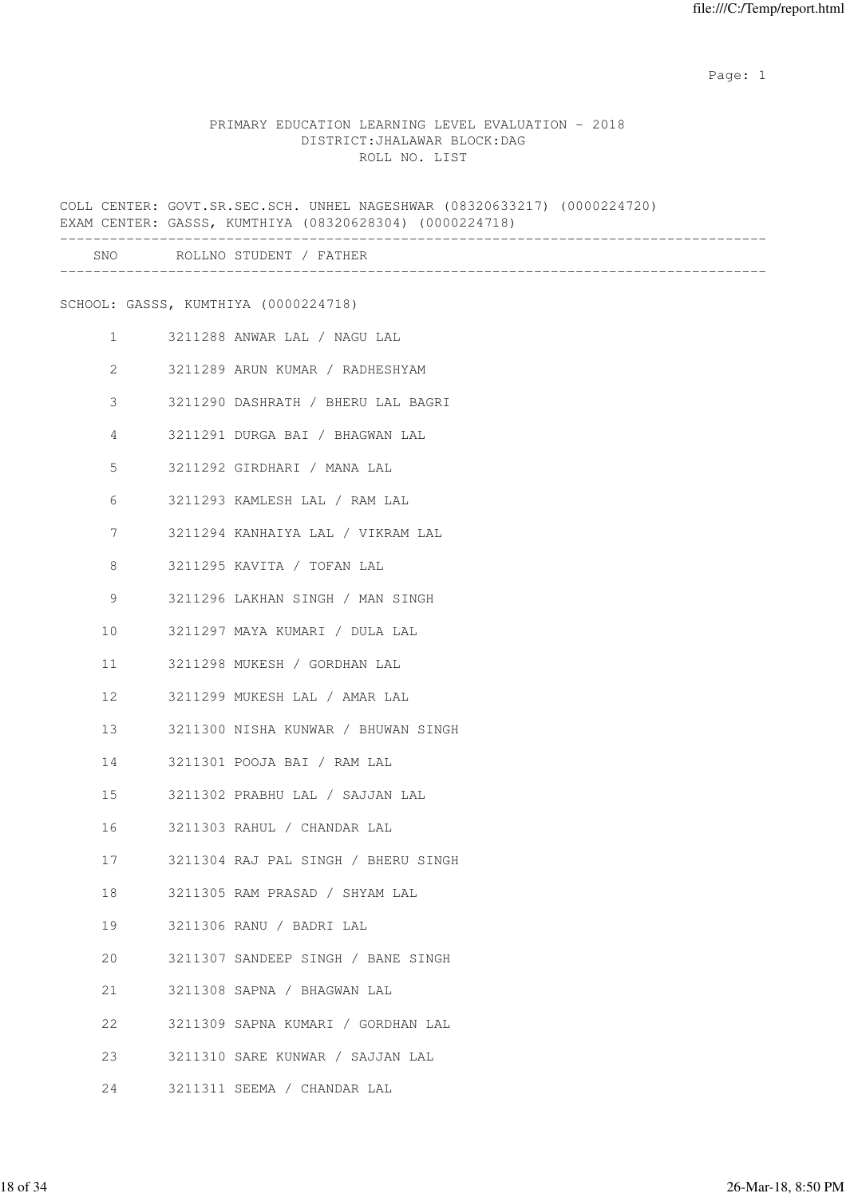#### PRIMARY EDUCATION LEARNING LEVEL EVALUATION - 2018 DISTRICT:JHALAWAR BLOCK:DAG ROLL NO. LIST

COLL CENTER: GOVT.SR.SEC.SCH. UNHEL NAGESHWAR (08320633217) (0000224720) EXAM CENTER: GASSS, KUMTHIYA (08320628304) (0000224718) ------------------------------------------------------------------------------------- SNO ROLLNO STUDENT / FATHER ------------------------------------------------------------------------------------- SCHOOL: GASSS, KUMTHIYA (0000224718) 1 3211288 ANWAR LAL / NAGU LAL 2 3211289 ARUN KUMAR / RADHESHYAM 3 3211290 DASHRATH / BHERU LAL BAGRI 4 3211291 DURGA BAI / BHAGWAN LAL 5 3211292 GIRDHARI / MANA LAL 6 3211293 KAMLESH LAL / RAM LAL 7 3211294 KANHAIYA LAL / VIKRAM LAL 8 3211295 KAVITA / TOFAN LAL 9 3211296 LAKHAN SINGH / MAN SINGH 10 3211297 MAYA KUMARI / DULA LAL 11 3211298 MUKESH / GORDHAN LAL 12 3211299 MUKESH LAL / AMAR LAL 13 3211300 NISHA KUNWAR / BHUWAN SINGH 14 3211301 POOJA BAI / RAM LAL 15 3211302 PRABHU LAL / SAJJAN LAL 16 3211303 RAHUL / CHANDAR LAL 17 3211304 RAJ PAL SINGH / BHERU SINGH 18 3211305 RAM PRASAD / SHYAM LAL 19 3211306 RANU / BADRI LAL 20 3211307 SANDEEP SINGH / BANE SINGH 21 3211308 SAPNA / BHAGWAN LAL 22 3211309 SAPNA KUMARI / GORDHAN LAL 23 3211310 SARE KUNWAR / SAJJAN LAL 24 3211311 SEEMA / CHANDAR LAL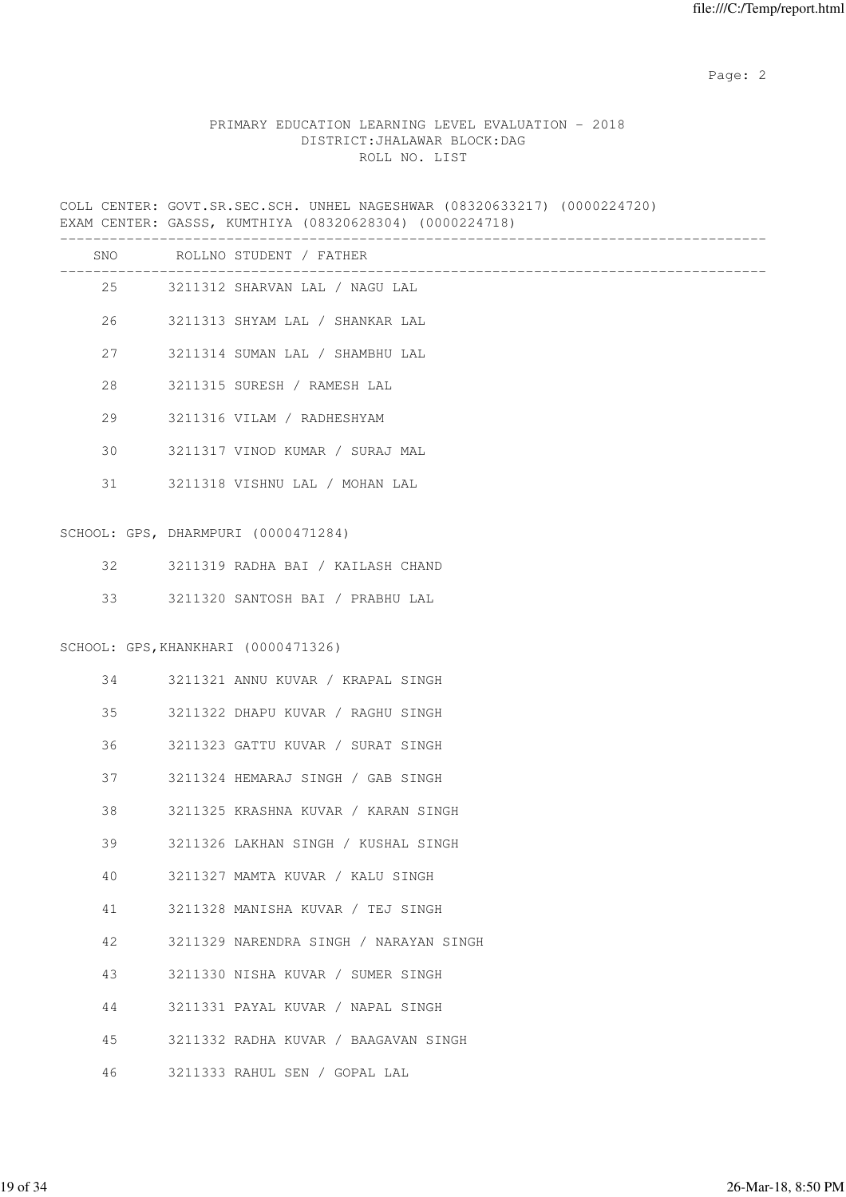## PRIMARY EDUCATION LEARNING LEVEL EVALUATION - 2018 DISTRICT:JHALAWAR BLOCK:DAG ROLL NO. LIST

COLL CENTER: GOVT.SR.SEC.SCH. UNHEL NAGESHWAR (08320633217) (0000224720) EXAM CENTER: GASSS, KUMTHIYA (08320628304) (0000224718)

|    |      | SNO ROLLNO STUDENT / FATHER            |
|----|------|----------------------------------------|
|    | 25   | 3211312 SHARVAN LAL / NAGU LAL         |
|    | 26   | 3211313 SHYAM LAL / SHANKAR LAL        |
| 27 |      | 3211314 SUMAN LAL / SHAMBHU LAL        |
| 28 |      | 3211315 SURESH / RAMESH LAL            |
| 29 |      | 3211316 VILAM / RADHESHYAM             |
| 30 |      | 3211317 VINOD KUMAR / SURAJ MAL        |
|    | 31 7 | 3211318 VISHNU LAL / MOHAN LAL         |
|    |      | SCHOOL: GPS, DHARMPURI (0000471284)    |
| 32 |      | 3211319 RADHA BAI / KAILASH CHAND      |
| 33 |      | 3211320 SANTOSH BAI / PRABHU LAL       |
|    |      | SCHOOL: GPS, KHANKHARI (0000471326)    |
| 34 |      | 3211321 ANNU KUVAR / KRAPAL SINGH      |
| 35 |      | 3211322 DHAPU KUVAR / RAGHU SINGH      |
| 36 |      | 3211323 GATTU KUVAR / SURAT SINGH      |
| 37 |      | 3211324 HEMARAJ SINGH / GAB SINGH      |
| 38 |      | 3211325 KRASHNA KUVAR / KARAN SINGH    |
| 39 |      | 3211326 LAKHAN SINGH / KUSHAL SINGH    |
| 40 |      | 3211327 MAMTA KUVAR / KALU SINGH       |
| 41 |      | 3211328 MANISHA KUVAR / TEJ SINGH      |
| 42 |      | 3211329 NARENDRA SINGH / NARAYAN SINGH |
| 43 |      | 3211330 NISHA KUVAR / SUMER SINGH      |
| 44 |      | 3211331 PAYAL KUVAR / NAPAL SINGH      |
| 45 |      | 3211332 RADHA KUVAR / BAAGAVAN SINGH   |
| 46 |      | 3211333 RAHUL SEN / GOPAL LAL          |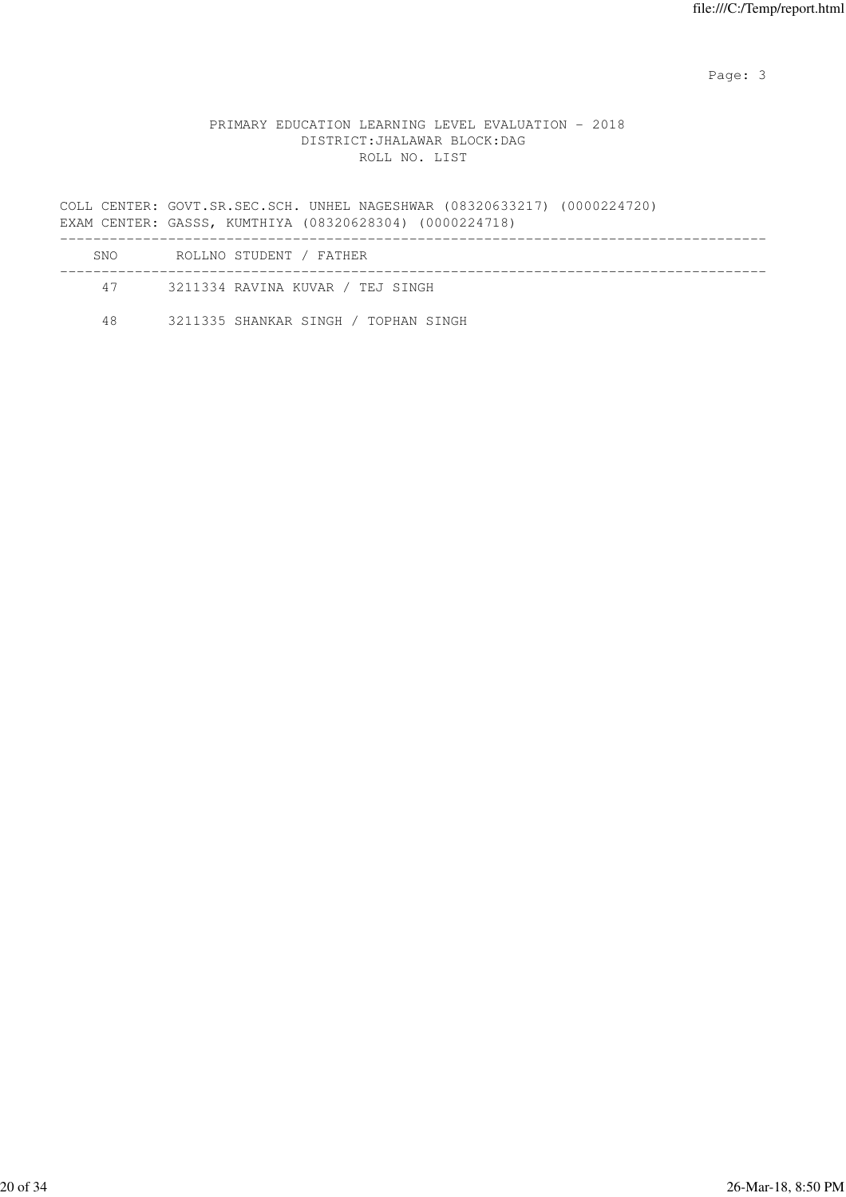Page: 3

## PRIMARY EDUCATION LEARNING LEVEL EVALUATION - 2018 DISTRICT:JHALAWAR BLOCK:DAG ROLL NO. LIST

COLL CENTER: GOVT.SR.SEC.SCH. UNHEL NAGESHWAR (08320633217) (0000224720) EXAM CENTER: GASSS, KUMTHIYA (08320628304) (0000224718) ------------------------------------------------------------------------------------- SNO ROLLNO STUDENT / FATHER

| 47 | 3211334 RAVINA KUVAR / TEJ SINGH     |
|----|--------------------------------------|
| 48 | 3211335 SHANKAR SINGH / TOPHAN SINGH |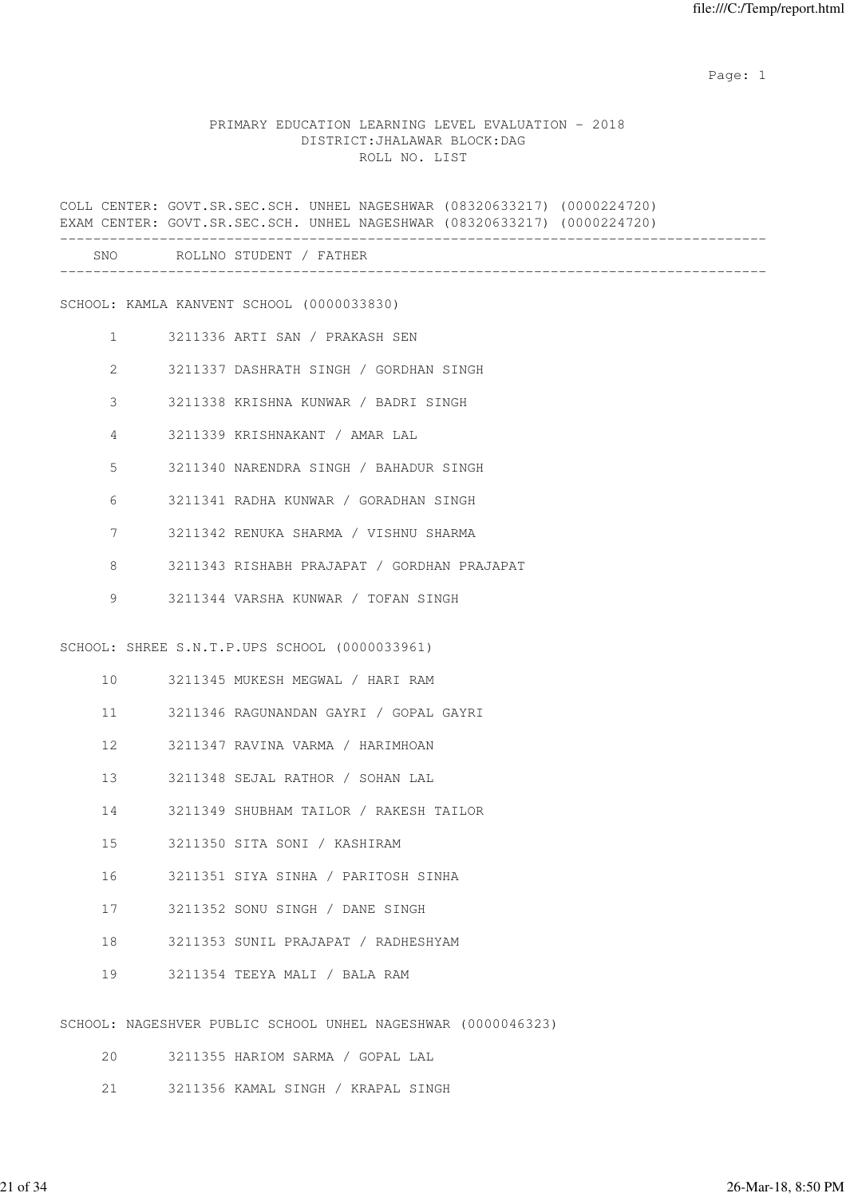#### PRIMARY EDUCATION LEARNING LEVEL EVALUATION - 2018 DISTRICT:JHALAWAR BLOCK:DAG ROLL NO. LIST

COLL CENTER: GOVT.SR.SEC.SCH. UNHEL NAGESHWAR (08320633217) (0000224720) EXAM CENTER: GOVT.SR.SEC.SCH. UNHEL NAGESHWAR (08320633217) (0000224720) ------------------------------------------------------------------------------------- SNO ROLLNO STUDENT / FATHER ------------------------------------------------------------------------------------- SCHOOL: KAMLA KANVENT SCHOOL (0000033830) 1 3211336 ARTI SAN / PRAKASH SEN 2 3211337 DASHRATH SINGH / GORDHAN SINGH 3 3211338 KRISHNA KUNWAR / BADRI SINGH 4 3211339 KRISHNAKANT / AMAR LAL 5 3211340 NARENDRA SINGH / BAHADUR SINGH 6 3211341 RADHA KUNWAR / GORADHAN SINGH 7 3211342 RENUKA SHARMA / VISHNU SHARMA 8 3211343 RISHABH PRAJAPAT / GORDHAN PRAJAPAT 9 3211344 VARSHA KUNWAR / TOFAN SINGH SCHOOL: SHREE S.N.T.P.UPS SCHOOL (0000033961) 10 3211345 MUKESH MEGWAL / HARI RAM 11 3211346 RAGUNANDAN GAYRI / GOPAL GAYRI 12 3211347 RAVINA VARMA / HARIMHOAN 13 3211348 SEJAL RATHOR / SOHAN LAL 14 3211349 SHUBHAM TAILOR / RAKESH TAILOR 15 3211350 SITA SONI / KASHIRAM 16 3211351 SIYA SINHA / PARITOSH SINHA 17 3211352 SONU SINGH / DANE SINGH 18 3211353 SUNIL PRAJAPAT / RADHESHYAM 19 3211354 TEEYA MALI / BALA RAM SCHOOL: NAGESHVER PUBLIC SCHOOL UNHEL NAGESHWAR (0000046323) 20 3211355 HARIOM SARMA / GOPAL LAL

- 
- 21 3211356 KAMAL SINGH / KRAPAL SINGH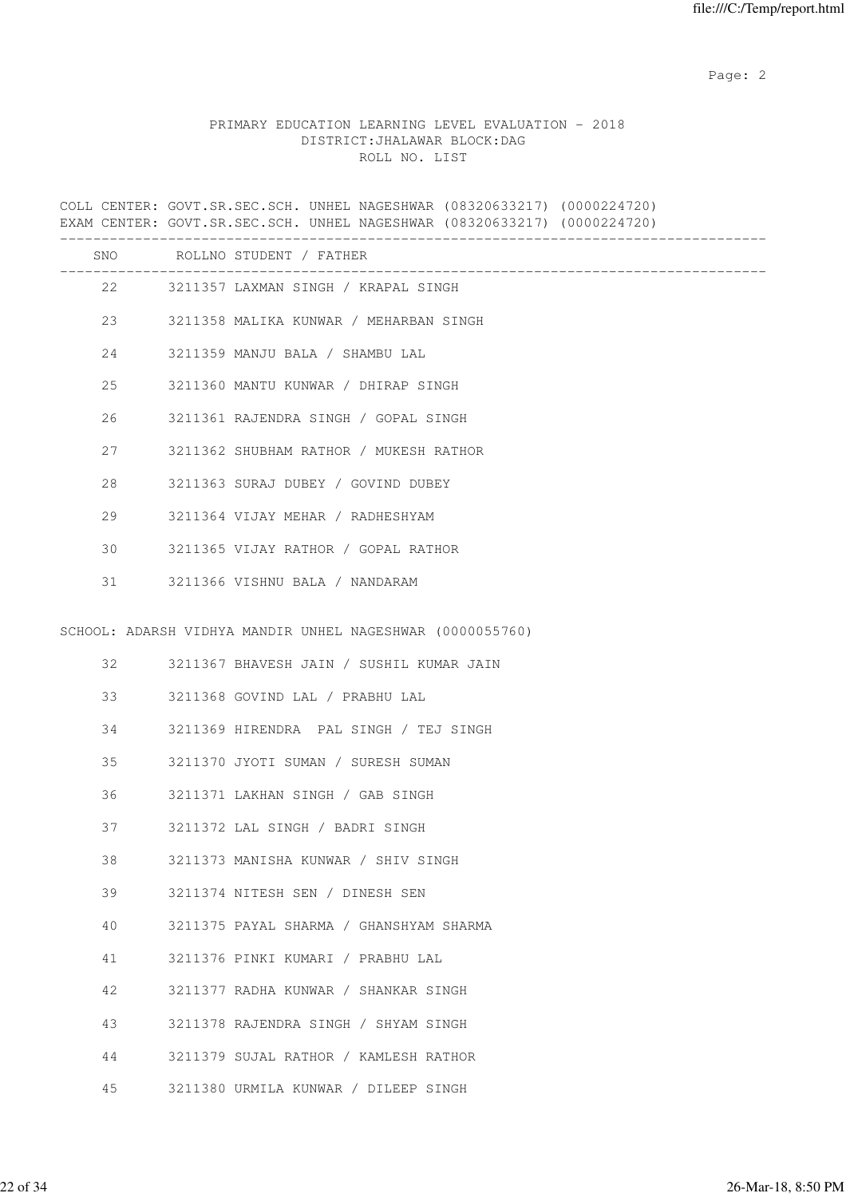## PRIMARY EDUCATION LEARNING LEVEL EVALUATION - 2018 DISTRICT:JHALAWAR BLOCK:DAG ROLL NO. LIST

COLL CENTER: GOVT.SR.SEC.SCH. UNHEL NAGESHWAR (08320633217) (0000224720) EXAM CENTER: GOVT.SR.SEC.SCH. UNHEL NAGESHWAR (08320633217) (0000224720) -------------------------------------------------------------------------------------

| SNO |    | ROLLNO STUDENT / FATHER                                   |
|-----|----|-----------------------------------------------------------|
|     | 22 | 3211357 LAXMAN SINGH / KRAPAL SINGH                       |
| 23  |    | 3211358 MALIKA KUNWAR / MEHARBAN SINGH                    |
| 24  |    | 3211359 MANJU BALA / SHAMBU LAL                           |
| 25  |    | 3211360 MANTU KUNWAR / DHIRAP SINGH                       |
| 26  |    | 3211361 RAJENDRA SINGH / GOPAL SINGH                      |
| 27  |    | 3211362 SHUBHAM RATHOR / MUKESH RATHOR                    |
| 28  |    | 3211363 SURAJ DUBEY / GOVIND DUBEY                        |
| 29  |    | 3211364 VIJAY MEHAR / RADHESHYAM                          |
| 30  |    | 3211365 VIJAY RATHOR / GOPAL RATHOR                       |
| 31  |    | 3211366 VISHNU BALA / NANDARAM                            |
|     |    | SCHOOL: ADARSH VIDHYA MANDIR UNHEL NAGESHWAR (0000055760) |
| 32  |    | 3211367 BHAVESH JAIN / SUSHIL KUMAR JAIN                  |
| 33  |    | 3211368 GOVIND LAL / PRABHU LAL                           |
| 34  |    | 3211369 HIRENDRA PAL SINGH / TEJ SINGH                    |
| 35  |    | 3211370 JYOTI SUMAN / SURESH SUMAN                        |
| 36  |    | 3211371 LAKHAN SINGH / GAB SINGH                          |
| 37  |    | 3211372 LAL SINGH / BADRI SINGH                           |
| 38  |    | 3211373 MANISHA KUNWAR / SHIV SINGH                       |
| 39  |    | 3211374 NITESH SEN / DINESH SEN                           |
| 40  |    | 3211375 PAYAL SHARMA / GHANSHYAM SHARMA                   |
| 41  |    | 3211376 PINKI KUMARI / PRABHU LAL                         |
| 42  |    | 3211377 RADHA KUNWAR / SHANKAR SINGH                      |
| 43  |    | 3211378 RAJENDRA SINGH / SHYAM SINGH                      |
| 44  |    | 3211379 SUJAL RATHOR / KAMLESH RATHOR                     |
| 45  |    | 3211380 URMILA KUNWAR / DILEEP SINGH                      |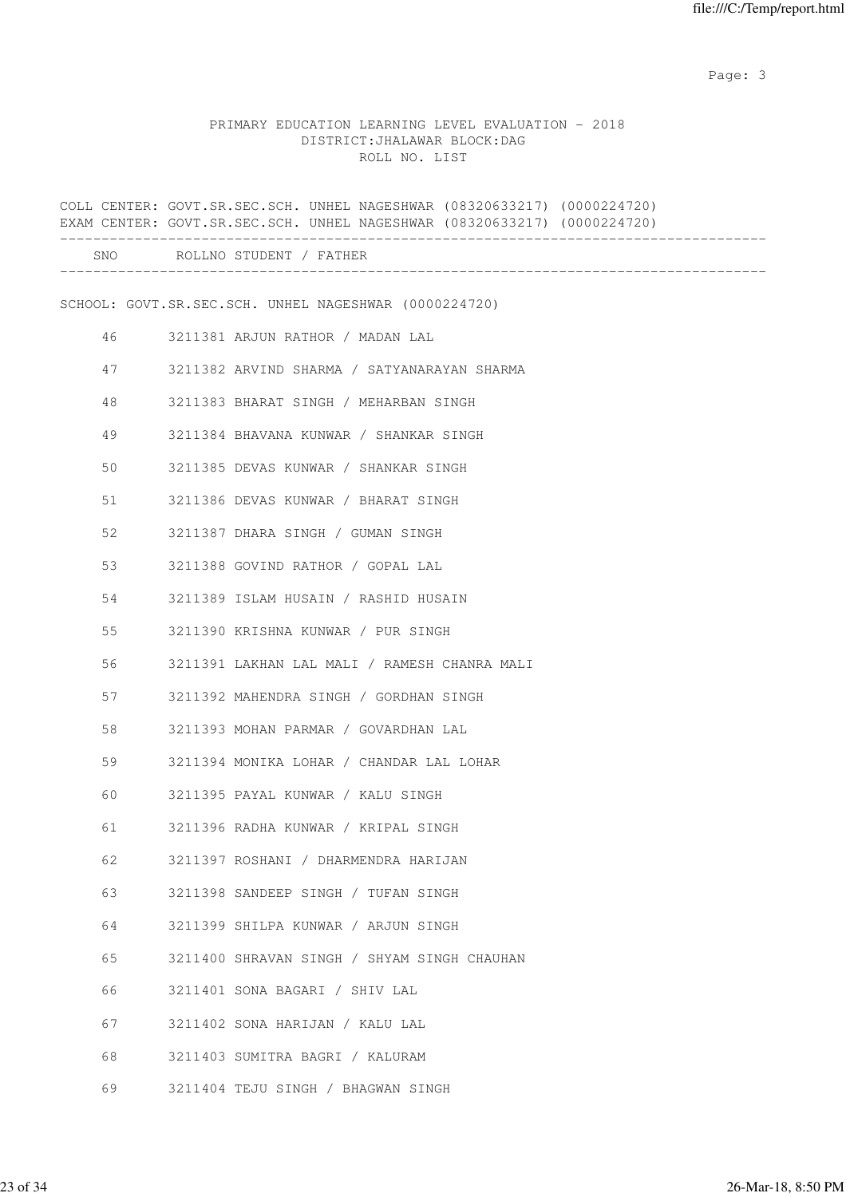Page: 3 Advanced 20 April 2014 2016 2017 2022 3 April 2017 2022 3 April 2022 3 April 2022 3 April 2022 3 April 2022 3 April 2022 3 April 2022 3 April 2022 3 April 2022 3 April 2022 3 April 2022 3 April 2022 3 April 2022 3

# PRIMARY EDUCATION LEARNING LEVEL EVALUATION - 2018 DISTRICT:JHALAWAR BLOCK:DAG ROLL NO. LIST

|    | COLL CENTER: GOVT.SR.SEC.SCH. UNHEL NAGESHWAR (08320633217) (0000224720)<br>EXAM CENTER: GOVT.SR.SEC.SCH. UNHEL NAGESHWAR (08320633217) (0000224720) |
|----|------------------------------------------------------------------------------------------------------------------------------------------------------|
|    | SNO ROLLNO STUDENT / FATHER                                                                                                                          |
|    | SCHOOL: GOVT.SR.SEC.SCH. UNHEL NAGESHWAR (0000224720)                                                                                                |
| 46 | 3211381 ARJUN RATHOR / MADAN LAL                                                                                                                     |
| 47 | 3211382 ARVIND SHARMA / SATYANARAYAN SHARMA                                                                                                          |
| 48 | 3211383 BHARAT SINGH / MEHARBAN SINGH                                                                                                                |
| 49 | 3211384 BHAVANA KUNWAR / SHANKAR SINGH                                                                                                               |
| 50 | 3211385 DEVAS KUNWAR / SHANKAR SINGH                                                                                                                 |
| 51 | 3211386 DEVAS KUNWAR / BHARAT SINGH                                                                                                                  |
| 52 | 3211387 DHARA SINGH / GUMAN SINGH                                                                                                                    |
| 53 | 3211388 GOVIND RATHOR / GOPAL LAL                                                                                                                    |
| 54 | 3211389 ISLAM HUSAIN / RASHID HUSAIN                                                                                                                 |
| 55 | 3211390 KRISHNA KUNWAR / PUR SINGH                                                                                                                   |
| 56 | 3211391 LAKHAN LAL MALI / RAMESH CHANRA MALI                                                                                                         |
| 57 | 3211392 MAHENDRA SINGH / GORDHAN SINGH                                                                                                               |
| 58 | 3211393 MOHAN PARMAR / GOVARDHAN LAL                                                                                                                 |
| 59 | 3211394 MONIKA LOHAR / CHANDAR LAL LOHAR                                                                                                             |
| 60 | 3211395 PAYAL KUNWAR / KALU SINGH                                                                                                                    |
| 61 | 3211396 RADHA KUNWAR / KRIPAL SINGH                                                                                                                  |
| 62 | 3211397 ROSHANI / DHARMENDRA HARIJAN                                                                                                                 |
| 63 | 3211398 SANDEEP SINGH / TUFAN SINGH                                                                                                                  |
| 64 | 3211399 SHILPA KUNWAR / ARJUN SINGH                                                                                                                  |
| 65 | 3211400 SHRAVAN SINGH / SHYAM SINGH CHAUHAN                                                                                                          |
| 66 | 3211401 SONA BAGARI / SHIV LAL                                                                                                                       |
| 67 | 3211402 SONA HARIJAN / KALU LAL                                                                                                                      |
| 68 | 3211403 SUMITRA BAGRI / KALURAM                                                                                                                      |
| 69 | 3211404 TEJU SINGH / BHAGWAN SINGH                                                                                                                   |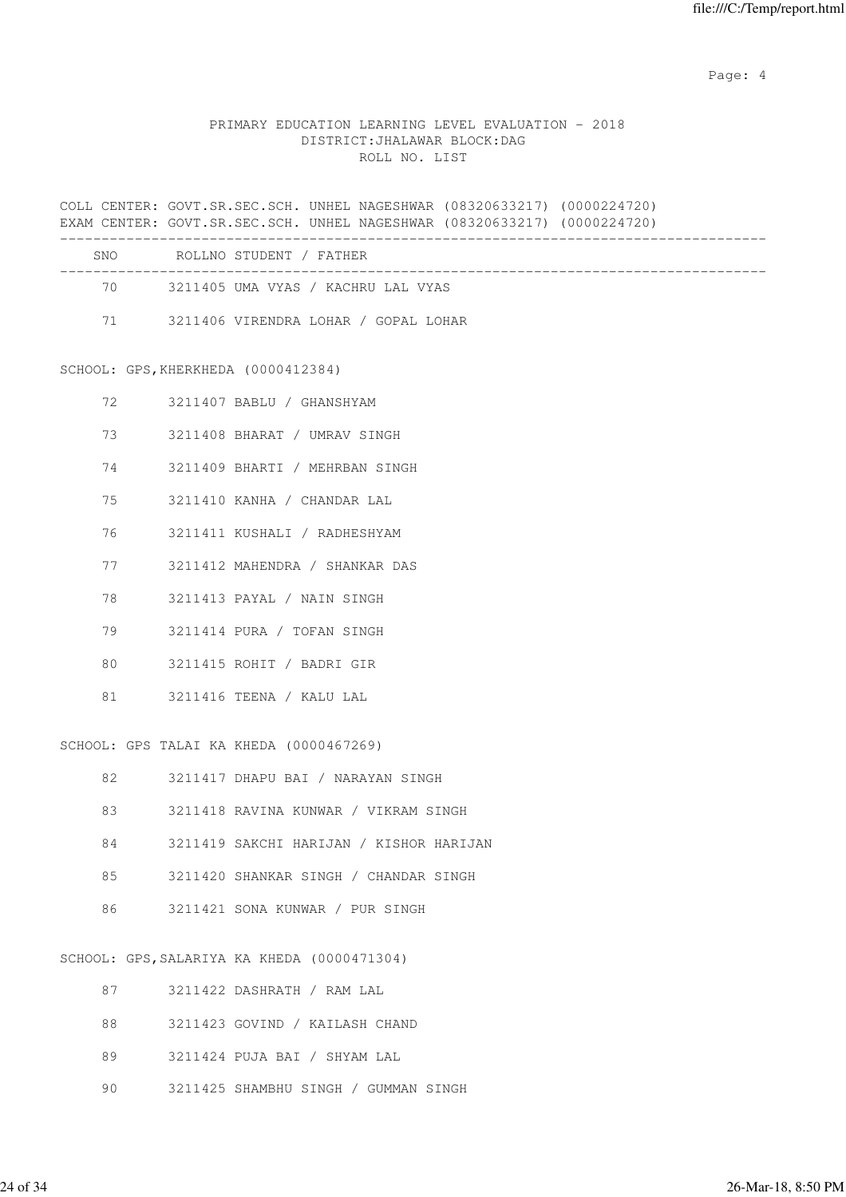Page: 4  $P$ 

## PRIMARY EDUCATION LEARNING LEVEL EVALUATION - 2018 DISTRICT:JHALAWAR BLOCK:DAG ROLL NO. LIST

COLL CENTER: GOVT.SR.SEC.SCH. UNHEL NAGESHWAR (08320633217) (0000224720) EXAM CENTER: GOVT.SR.SEC.SCH. UNHEL NAGESHWAR (08320633217) (0000224720) -------------------------------------------------------------------------------------

| <b>SNO</b> | ROLLNO STUDENT / FATHER              |  |
|------------|--------------------------------------|--|
| 70         | 3211405 UMA VYAS / KACHRU LAL VYAS   |  |
| 71         | 3211406 VIRENDRA LOHAR / GOPAL LOHAR |  |

SCHOOL: GPS,KHERKHEDA (0000412384)

| 72 | 3211407 BABLU / GHANSHYAM      |
|----|--------------------------------|
| 73 | 3211408 BHARAT / UMRAV SINGH   |
| 74 | 3211409 BHARTI / MEHRBAN SINGH |
| 75 | 3211410 KANHA / CHANDAR LAL    |
| 76 | 3211411 KUSHALI / RADHESHYAM   |
| 77 | 3211412 MAHENDRA / SHANKAR DAS |
| 78 | 3211413 PAYAL / NAIN SINGH     |
| 79 | 3211414 PURA / TOFAN SINGH     |
| 80 | 3211415 ROHIT / BADRI GIR      |
| 81 | 3211416 TEENA / KALU LAL       |
|    |                                |

SCHOOL: GPS TALAI KA KHEDA (0000467269)

| 82 | 3211417 DHAPU BAI / NARAYAN SINGH       |
|----|-----------------------------------------|
| 83 | 3211418 RAVINA KUNWAR / VIKRAM SINGH    |
| 84 | 3211419 SAKCHI HARIJAN / KISHOR HARIJAN |
| 85 | 3211420 SHANKAR SINGH / CHANDAR SINGH   |
| 86 | 3211421 SONA KUNWAR / PUR SINGH         |
|    |                                         |

SCHOOL: GPS,SALARIYA KA KHEDA (0000471304)

| 87 | 3211422 DASHRATH / RAM LAL           |
|----|--------------------------------------|
| 88 | 3211423 GOVIND / KAILASH CHAND       |
| 89 | 3211424 PUJA BAI / SHYAM LAL         |
| 90 | 3211425 SHAMBHU SINGH / GUMMAN SINGH |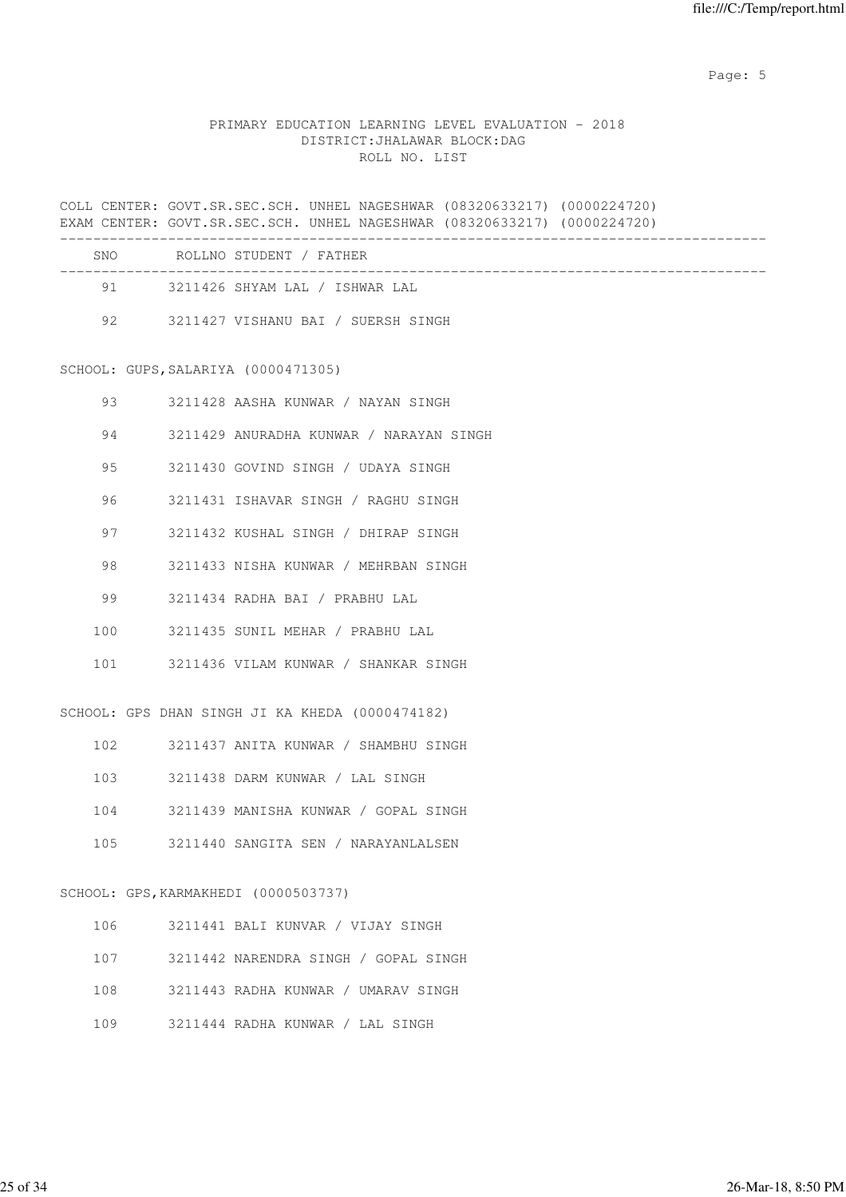Page: 5  $P$  and  $P$  and  $P$  and  $P$  and  $P$  and  $P$  and  $P$  and  $P$  and  $P$  and  $P$  and  $P$  and  $P$  and  $P$  and  $P$  and  $P$  and  $P$  and  $P$  and  $P$  and  $P$  and  $P$  and  $P$  and  $P$  and  $P$  and  $P$  and  $P$  and  $P$  and  $P$  an

## PRIMARY EDUCATION LEARNING LEVEL EVALUATION - 2018 DISTRICT:JHALAWAR BLOCK:DAG ROLL NO. LIST

COLL CENTER: GOVT.SR.SEC.SCH. UNHEL NAGESHWAR (08320633217) (0000224720) EXAM CENTER: GOVT.SR.SEC.SCH. UNHEL NAGESHWAR (08320633217) (0000224720) -------------------------------------------------------------------------------------

| SNO. | ROLLNO STUDENT / FATHER            |
|------|------------------------------------|
| 91 — | 3211426 SHYAM LAL / ISHWAR LAL     |
| 92   | 3211427 VISHANU BAI / SUERSH SINGH |

SCHOOL: GUPS,SALARIYA (0000471305)

| 93  | 3211428 AASHA KUNWAR / NAYAN SINGH      |
|-----|-----------------------------------------|
| 94  | 3211429 ANURADHA KUNWAR / NARAYAN SINGH |
| 95  | 3211430 GOVIND SINGH / UDAYA SINGH      |
| 96  | 3211431 ISHAVAR SINGH / RAGHU SINGH     |
| 97  | 3211432 KUSHAL SINGH / DHIRAP SINGH     |
| 98  | 3211433 NISHA KUNWAR / MEHRBAN SINGH    |
| 99  | 3211434 RADHA BAI / PRABHU LAL          |
| 100 | 3211435 SUNIL MEHAR / PRABHU LAL        |
| 101 | 3211436 VILAM KUNWAR / SHANKAR SINGH    |

SCHOOL: GPS DHAN SINGH JI KA KHEDA (0000474182)

| 102 | 3211437 ANITA KUNWAR / SHAMBHU SINGH |
|-----|--------------------------------------|
| 103 | 3211438 DARM KUNWAR / LAL SINGH      |
| 104 | 3211439 MANISHA KUNWAR / GOPAL SINGH |
| 105 | 3211440 SANGITA SEN / NARAYANLALSEN  |
|     |                                      |

## SCHOOL: GPS,KARMAKHEDI (0000503737)

| 106 | 3211441 BALI KUNVAR / VIJAY SINGH    |
|-----|--------------------------------------|
| 107 | 3211442 NARENDRA SINGH / GOPAL SINGH |
| 108 | 3211443 RADHA KUNWAR / UMARAV SINGH  |
| 109 | 3211444 RADHA KUNWAR / LAL SINGH     |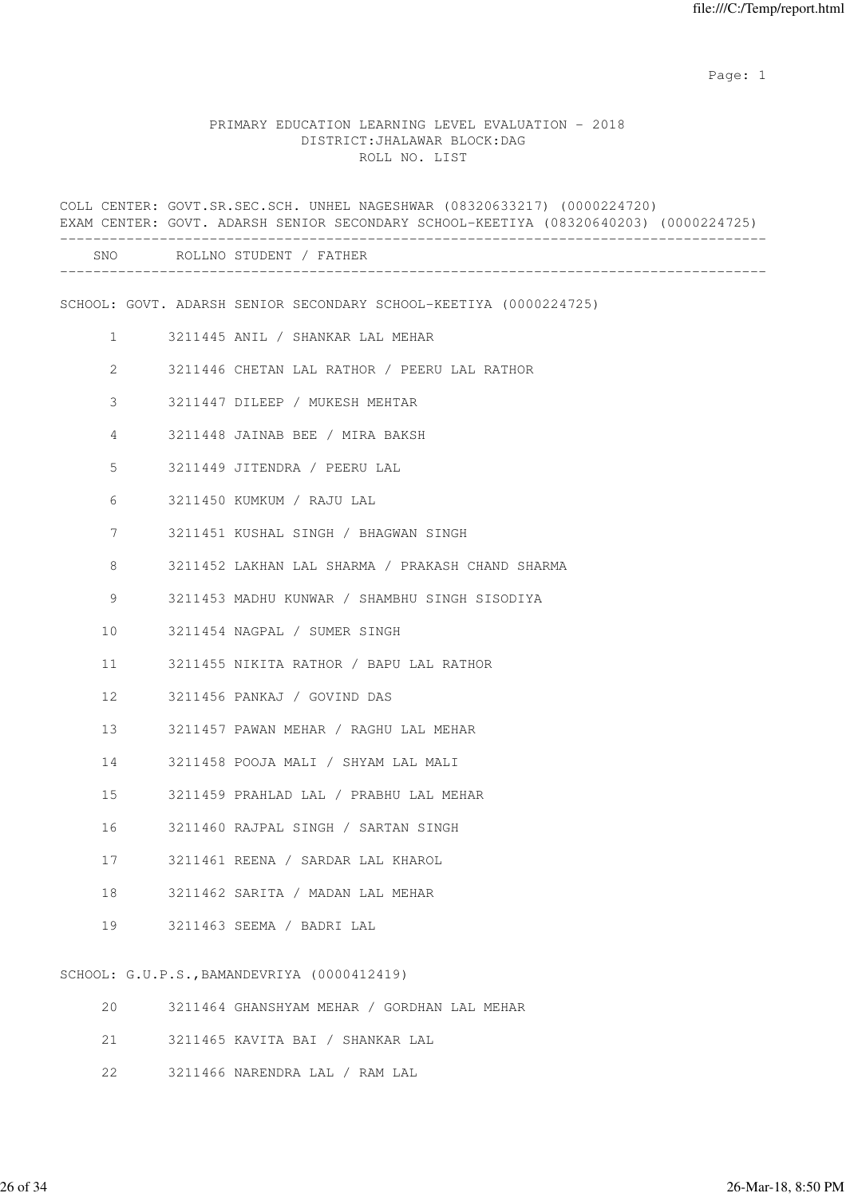## PRIMARY EDUCATION LEARNING LEVEL EVALUATION - 2018 DISTRICT:JHALAWAR BLOCK:DAG ROLL NO. LIST

|                 |  | COLL CENTER: GOVT.SR.SEC.SCH. UNHEL NAGESHWAR (08320633217) (0000224720)<br>EXAM CENTER: GOVT. ADARSH SENIOR SECONDARY SCHOOL-KEETIYA (08320640203) (0000224725) |
|-----------------|--|------------------------------------------------------------------------------------------------------------------------------------------------------------------|
|                 |  | SNO ROLLNO STUDENT / FATHER                                                                                                                                      |
|                 |  | SCHOOL: GOVT. ADARSH SENIOR SECONDARY SCHOOL-KEETIYA (0000224725)                                                                                                |
| $\mathbf{1}$    |  | 3211445 ANIL / SHANKAR LAL MEHAR                                                                                                                                 |
| 2               |  | 3211446 CHETAN LAL RATHOR / PEERU LAL RATHOR                                                                                                                     |
| 3               |  | 3211447 DILEEP / MUKESH MEHTAR                                                                                                                                   |
| 4               |  | 3211448 JAINAB BEE / MIRA BAKSH                                                                                                                                  |
| 5               |  | 3211449 JITENDRA / PEERU LAL                                                                                                                                     |
| 6               |  | 3211450 KUMKUM / RAJU LAL                                                                                                                                        |
| 7               |  | 3211451 KUSHAL SINGH / BHAGWAN SINGH                                                                                                                             |
| 8               |  | 3211452 LAKHAN LAL SHARMA / PRAKASH CHAND SHARMA                                                                                                                 |
| 9               |  | 3211453 MADHU KUNWAR / SHAMBHU SINGH SISODIYA                                                                                                                    |
| 10              |  | 3211454 NAGPAL / SUMER SINGH                                                                                                                                     |
| 11              |  | 3211455 NIKITA RATHOR / BAPU LAL RATHOR                                                                                                                          |
| 12 <sup>°</sup> |  | 3211456 PANKAJ / GOVIND DAS                                                                                                                                      |
| 13              |  | 3211457 PAWAN MEHAR / RAGHU LAL MEHAR                                                                                                                            |
| 14              |  | 3211458 POOJA MALI / SHYAM LAL MALI                                                                                                                              |
| 15              |  | 3211459 PRAHLAD LAL / PRABHU LAL MEHAR                                                                                                                           |
| 16              |  | 3211460 RAJPAL SINGH / SARTAN SINGH                                                                                                                              |
| 17              |  | 3211461 REENA / SARDAR LAL KHAROL                                                                                                                                |
| 18              |  | 3211462 SARITA / MADAN LAL MEHAR                                                                                                                                 |
| 19              |  | 3211463 SEEMA / BADRI LAL                                                                                                                                        |
|                 |  | SCHOOL: G.U.P.S., BAMANDEVRIYA (0000412419)                                                                                                                      |

|  | 20 3211464 GHANSHYAM MEHAR / GORDHAN LAL MEHAR |
|--|------------------------------------------------|
|  | 21 3211465 KAVITA BAI / SHANKAR LAL            |
|  | 22 3211466 NARENDRA LAL / RAM LAL              |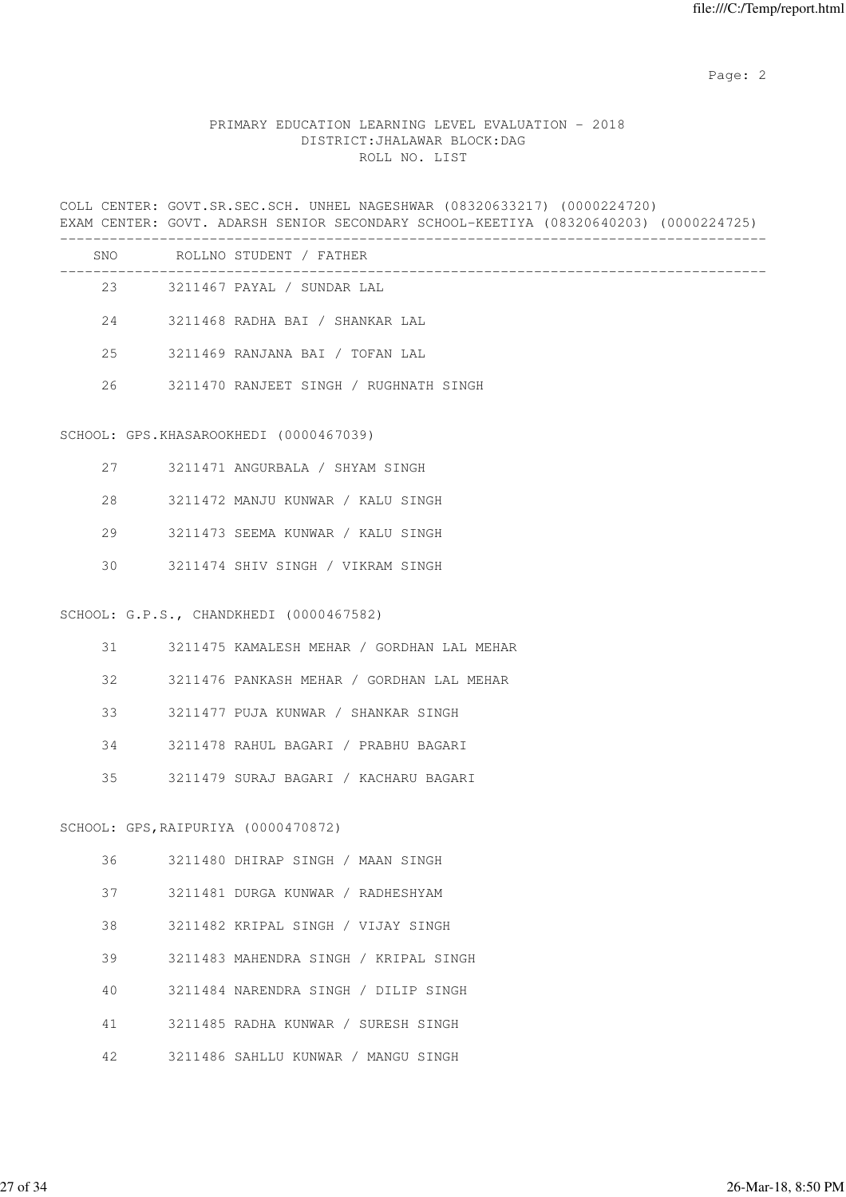## PRIMARY EDUCATION LEARNING LEVEL EVALUATION - 2018 DISTRICT:JHALAWAR BLOCK:DAG ROLL NO. LIST

COLL CENTER: GOVT.SR.SEC.SCH. UNHEL NAGESHWAR (08320633217) (0000224720) EXAM CENTER: GOVT. ADARSH SENIOR SECONDARY SCHOOL-KEETIYA (08320640203) (0000224725) ------------------------------------------------------------------------------------- SNO ROLLNO STUDENT / FATHER

| 5.NU | ROLLNO SIUDENI / FAIHER                |
|------|----------------------------------------|
| 23   | 3211467 PAYAL / SUNDAR LAL             |
| 2.4  | 3211468 RADHA BAI / SHANKAR LAL        |
| 2.5  | 3211469 RANJANA BAI / TOFAN LAL        |
| 26   | 3211470 RANJEET SINGH / RUGHNATH SINGH |

#### SCHOOL: GPS.KHASAROOKHEDI (0000467039)

| 27 | 3211471 ANGURBALA / SHYAM SINGH   |
|----|-----------------------------------|
| 28 | 3211472 MANJU KUNWAR / KALU SINGH |
| 29 | 3211473 SEEMA KUNWAR / KALU SINGH |
| 30 | 3211474 SHIV SINGH / VIKRAM SINGH |

#### SCHOOL: G.P.S., CHANDKHEDI (0000467582)

| 31 | 3211475 KAMALESH MEHAR / GORDHAN LAL MEHAR |
|----|--------------------------------------------|
| 32 | 3211476 PANKASH MEHAR / GORDHAN LAL MEHAR  |
| 33 | 3211477 PUJA KUNWAR / SHANKAR SINGH        |
| 34 | 3211478 RAHUL BAGARI / PRABHU BAGARI       |
| 35 | 3211479 SURAJ BAGARI / KACHARU BAGARI      |
|    |                                            |

# SCHOOL: GPS,RAIPURIYA (0000470872)

| 36 | 3211480 DHIRAP SINGH / MAAN SINGH     |
|----|---------------------------------------|
| 37 | 3211481 DURGA KUNWAR / RADHESHYAM     |
| 38 | 3211482 KRIPAL SINGH / VIJAY SINGH    |
| 39 | 3211483 MAHENDRA SINGH / KRIPAL SINGH |
| 40 | 3211484 NARENDRA SINGH / DILIP SINGH  |
| 41 | 3211485 RADHA KUNWAR / SURESH SINGH   |
| 42 | 3211486 SAHLLU KUNWAR / MANGU SINGH   |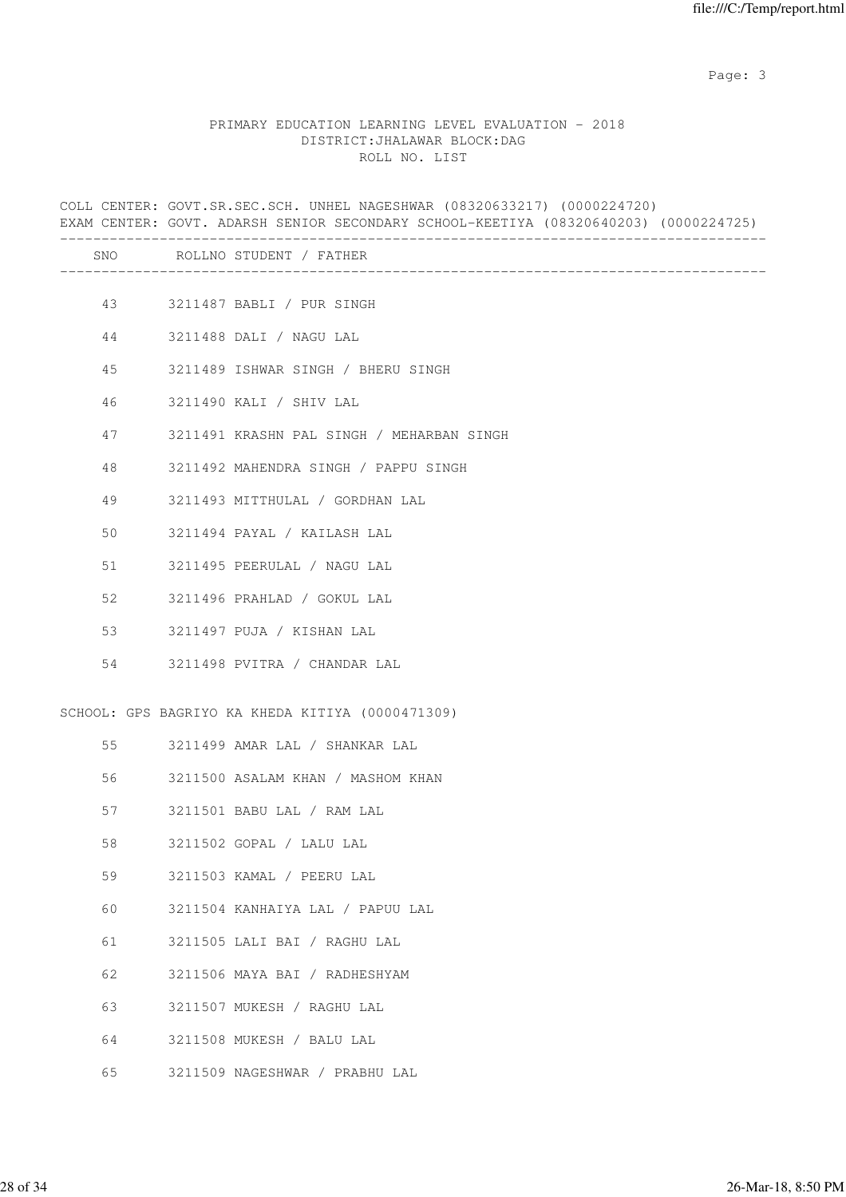Page: 3 Advanced 20 April 2014 2016 2017 2022 3 April 2017 2022 3 April 2022 3 April 2022 3 April 2022 3 April 2022 3 April 2022 3 April 2022 3 April 2022 3 April 2022 3 April 2022 3 April 2022 3 April 2022 3 April 2022 3

## PRIMARY EDUCATION LEARNING LEVEL EVALUATION - 2018 DISTRICT:JHALAWAR BLOCK:DAG ROLL NO. LIST

COLL CENTER: GOVT.SR.SEC.SCH. UNHEL NAGESHWAR (08320633217) (0000224720) EXAM CENTER: GOVT. ADARSH SENIOR SECONDARY SCHOOL-KEETIYA (08320640203) (0000224725) ------------------------------------------------------------------------------------- SNO ROLLNO STUDENT / FATHER ------------------------------------------------------------------------------------- 43 3211487 BABLI / PUR SINGH 44 3211488 DALI / NAGU LAL 45 3211489 ISHWAR SINGH / BHERU SINGH 46 3211490 KALI / SHIV LAL 47 3211491 KRASHN PAL SINGH / MEHARBAN SINGH 48 3211492 MAHENDRA SINGH / PAPPU SINGH 49 3211493 MITTHULAL / GORDHAN LAL 50 3211494 PAYAL / KAILASH LAL 51 3211495 PEERULAL / NAGU LAL 52 3211496 PRAHLAD / GOKUL LAL 53 3211497 PUJA / KISHAN LAL 54 3211498 PVITRA / CHANDAR LAL SCHOOL: GPS BAGRIYO KA KHEDA KITIYA (0000471309) 55 3211499 AMAR LAL / SHANKAR LAL 56 3211500 ASALAM KHAN / MASHOM KHAN 57 3211501 BABU LAL / RAM LAL 58 3211502 GOPAL / LALU LAL 59 3211503 KAMAL / PEERU LAL 60 3211504 KANHAIYA LAL / PAPUU LAL 61 3211505 LALI BAI / RAGHU LAL 62 3211506 MAYA BAI / RADHESHYAM 63 3211507 MUKESH / RAGHU LAL 64 3211508 MUKESH / BALU LAL

65 3211509 NAGESHWAR / PRABHU LAL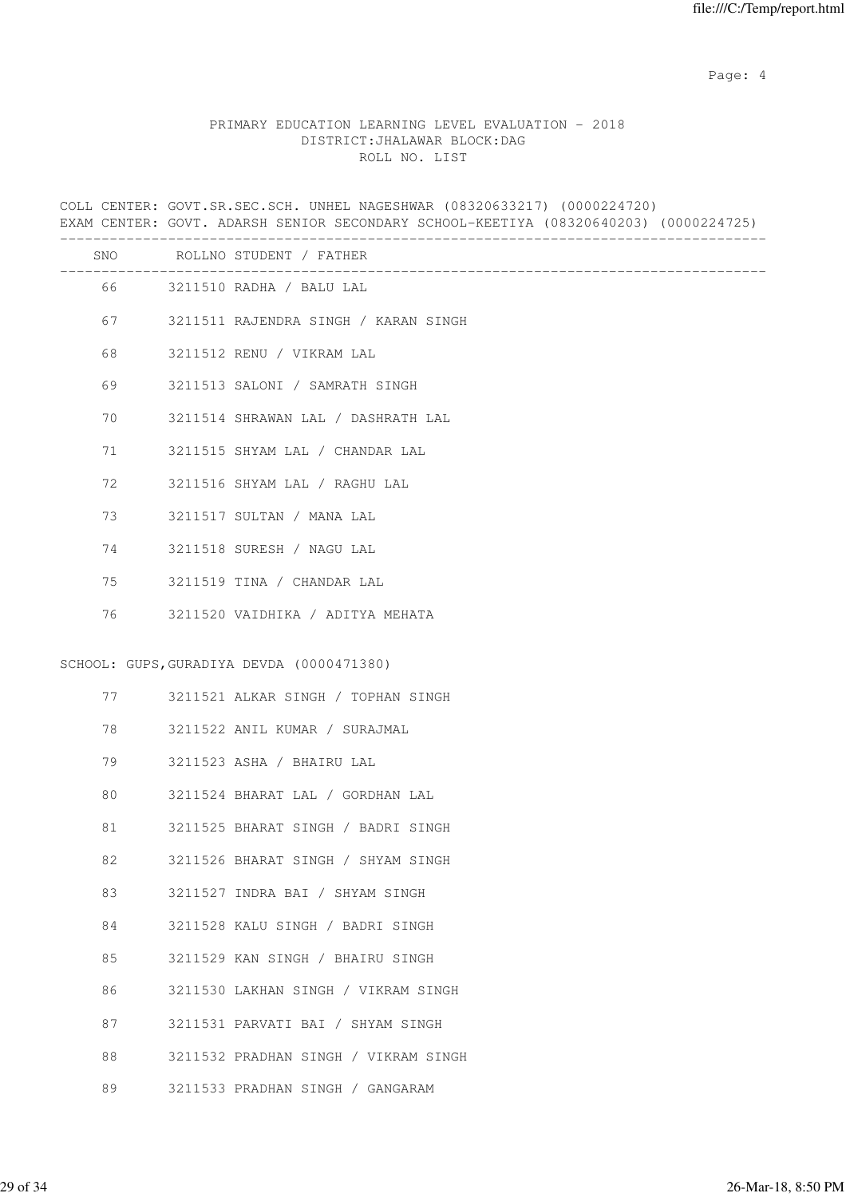Page: 4  $P$ 

## PRIMARY EDUCATION LEARNING LEVEL EVALUATION - 2018 DISTRICT:JHALAWAR BLOCK:DAG ROLL NO. LIST

COLL CENTER: GOVT.SR.SEC.SCH. UNHEL NAGESHWAR (08320633217) (0000224720) EXAM CENTER: GOVT. ADARSH SENIOR SECONDARY SCHOOL-KEETIYA (08320640203) (0000224725) ------------------------------------------------------------------------------------- SNO ROLLNO STUDENT / FATHER ------------------------------------------------------------------------------------- 66 3211510 RADHA / BALU LAL 67 3211511 RAJENDRA SINGH / KARAN SINGH 68 3211512 RENU / VIKRAM LAL 69 3211513 SALONI / SAMRATH SINGH 70 3211514 SHRAWAN LAL / DASHRATH LAL 71 3211515 SHYAM LAL / CHANDAR LAL 72 3211516 SHYAM LAL / RAGHU LAL 73 3211517 SULTAN / MANA LAL 74 3211518 SURESH / NAGU LAL 75 3211519 TINA / CHANDAR LAL 76 3211520 VAIDHIKA / ADITYA MEHATA SCHOOL: GUPS,GURADIYA DEVDA (0000471380) 77 3211521 ALKAR SINGH / TOPHAN SINGH 78 3211522 ANIL KUMAR / SURAJMAL 79 3211523 ASHA / BHAIRU LAL 80 3211524 BHARAT LAL / GORDHAN LAL 81 3211525 BHARAT SINGH / BADRI SINGH 82 3211526 BHARAT SINGH / SHYAM SINGH 83 3211527 INDRA BAI / SHYAM SINGH 84 3211528 KALU SINGH / BADRI SINGH 85 3211529 KAN SINGH / BHAIRU SINGH 86 3211530 LAKHAN SINGH / VIKRAM SINGH 87 3211531 PARVATI BAI / SHYAM SINGH 88 3211532 PRADHAN SINGH / VIKRAM SINGH

89 3211533 PRADHAN SINGH / GANGARAM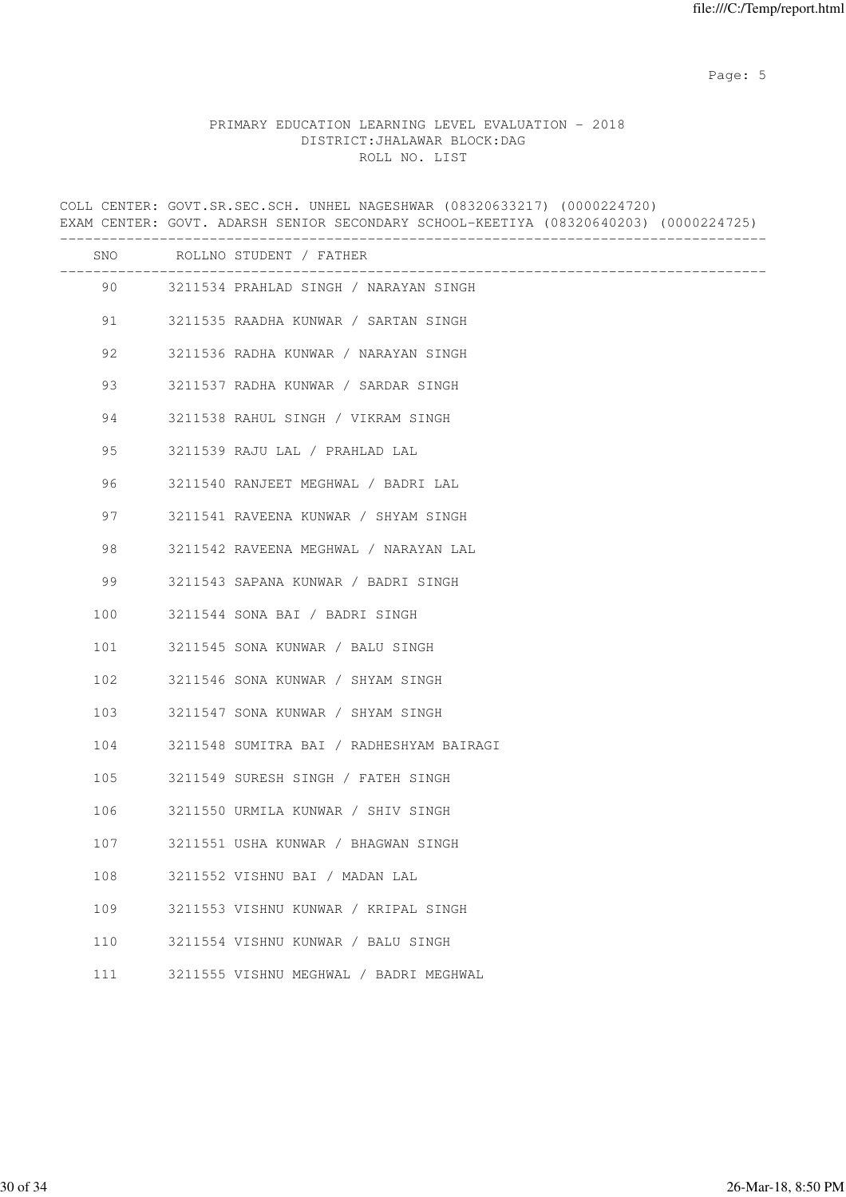Page: 5  $P$  and  $P$  and  $P$  and  $P$  and  $P$  and  $P$  and  $P$  and  $P$  and  $P$  and  $P$  and  $P$  and  $P$  and  $P$  and  $P$  and  $P$  and  $P$  and  $P$  and  $P$  and  $P$  and  $P$  and  $P$  and  $P$  and  $P$  and  $P$  and  $P$  and  $P$  and  $P$  an

# PRIMARY EDUCATION LEARNING LEVEL EVALUATION - 2018 DISTRICT:JHALAWAR BLOCK:DAG ROLL NO. LIST

|     | COLL CENTER: GOVT.SR.SEC.SCH. UNHEL NAGESHWAR (08320633217) (0000224720)<br>EXAM CENTER: GOVT. ADARSH SENIOR SECONDARY SCHOOL-KEETIYA (08320640203) (0000224725) |                                          |  |
|-----|------------------------------------------------------------------------------------------------------------------------------------------------------------------|------------------------------------------|--|
|     |                                                                                                                                                                  | SNO ROLLNO STUDENT / FATHER              |  |
|     |                                                                                                                                                                  | 90 3211534 PRAHLAD SINGH / NARAYAN SINGH |  |
| 91  |                                                                                                                                                                  | 3211535 RAADHA KUNWAR / SARTAN SINGH     |  |
| 92  |                                                                                                                                                                  | 3211536 RADHA KUNWAR / NARAYAN SINGH     |  |
| 93  |                                                                                                                                                                  | 3211537 RADHA KUNWAR / SARDAR SINGH      |  |
| 94  |                                                                                                                                                                  | 3211538 RAHUL SINGH / VIKRAM SINGH       |  |
| 95  |                                                                                                                                                                  | 3211539 RAJU LAL / PRAHLAD LAL           |  |
| 96  |                                                                                                                                                                  | 3211540 RANJEET MEGHWAL / BADRI LAL      |  |
| 97  |                                                                                                                                                                  | 3211541 RAVEENA KUNWAR / SHYAM SINGH     |  |
| 98  |                                                                                                                                                                  | 3211542 RAVEENA MEGHWAL / NARAYAN LAL    |  |
| 99  |                                                                                                                                                                  | 3211543 SAPANA KUNWAR / BADRI SINGH      |  |
| 100 |                                                                                                                                                                  | 3211544 SONA BAI / BADRI SINGH           |  |
| 101 |                                                                                                                                                                  | 3211545 SONA KUNWAR / BALU SINGH         |  |
| 102 |                                                                                                                                                                  | 3211546 SONA KUNWAR / SHYAM SINGH        |  |
| 103 |                                                                                                                                                                  | 3211547 SONA KUNWAR / SHYAM SINGH        |  |
| 104 |                                                                                                                                                                  | 3211548 SUMITRA BAI / RADHESHYAM BAIRAGI |  |
| 105 |                                                                                                                                                                  | 3211549 SURESH SINGH / FATEH SINGH       |  |
| 106 |                                                                                                                                                                  | 3211550 URMILA KUNWAR / SHIV SINGH       |  |
| 107 |                                                                                                                                                                  | 3211551 USHA KUNWAR / BHAGWAN SINGH      |  |
| 108 |                                                                                                                                                                  | 3211552 VISHNU BAI / MADAN LAL           |  |
| 109 |                                                                                                                                                                  | 3211553 VISHNU KUNWAR / KRIPAL SINGH     |  |
| 110 |                                                                                                                                                                  | 3211554 VISHNU KUNWAR / BALU SINGH       |  |
| 111 |                                                                                                                                                                  | 3211555 VISHNU MEGHWAL / BADRI MEGHWAL   |  |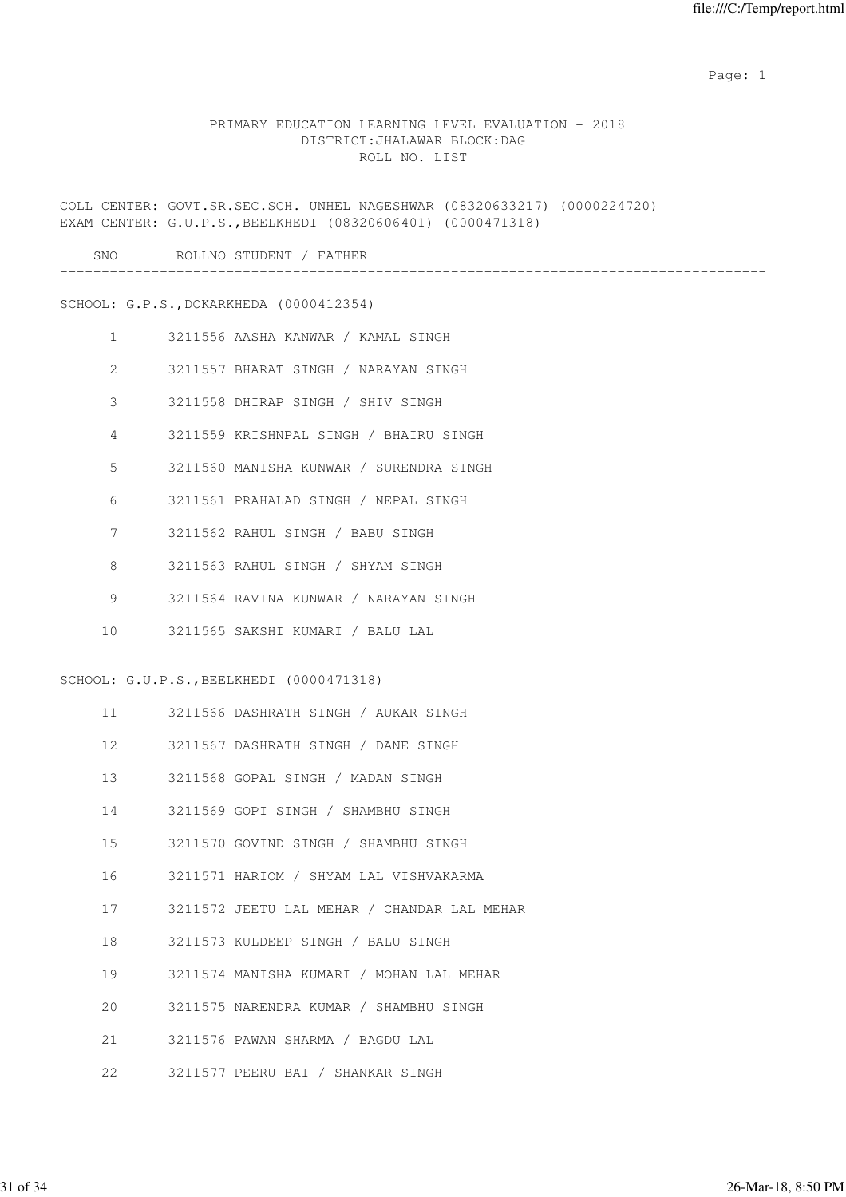#### PRIMARY EDUCATION LEARNING LEVEL EVALUATION - 2018 DISTRICT:JHALAWAR BLOCK:DAG ROLL NO. LIST

COLL CENTER: GOVT.SR.SEC.SCH. UNHEL NAGESHWAR (08320633217) (0000224720) EXAM CENTER: G.U.P.S.,BEELKHEDI (08320606401) (0000471318) ------------------------------------------------------------------------------------- SNO ROLLNO STUDENT / FATHER ------------------------------------------------------------------------------------- SCHOOL: G.P.S.,DOKARKHEDA (0000412354) 1 3211556 AASHA KANWAR / KAMAL SINGH 2 3211557 BHARAT SINGH / NARAYAN SINGH 3 3211558 DHIRAP SINGH / SHIV SINGH 4 3211559 KRISHNPAL SINGH / BHAIRU SINGH 5 3211560 MANISHA KUNWAR / SURENDRA SINGH 6 3211561 PRAHALAD SINGH / NEPAL SINGH 7 3211562 RAHUL SINGH / BABU SINGH 8 3211563 RAHUL SINGH / SHYAM SINGH 9 3211564 RAVINA KUNWAR / NARAYAN SINGH 10 3211565 SAKSHI KUMARI / BALU LAL SCHOOL: G.U.P.S.,BEELKHEDI (0000471318) 11 3211566 DASHRATH SINGH / AUKAR SINGH 12 3211567 DASHRATH SINGH / DANE SINGH 13 3211568 GOPAL SINGH / MADAN SINGH 14 3211569 GOPI SINGH / SHAMBHU SINGH 15 3211570 GOVIND SINGH / SHAMBHU SINGH 16 3211571 HARIOM / SHYAM LAL VISHVAKARMA 17 3211572 JEETU LAL MEHAR / CHANDAR LAL MEHAR 18 3211573 KULDEEP SINGH / BALU SINGH 19 3211574 MANISHA KUMARI / MOHAN LAL MEHAR 20 3211575 NARENDRA KUMAR / SHAMBHU SINGH 21 3211576 PAWAN SHARMA / BAGDU LAL 22 3211577 PEERU BAI / SHANKAR SINGH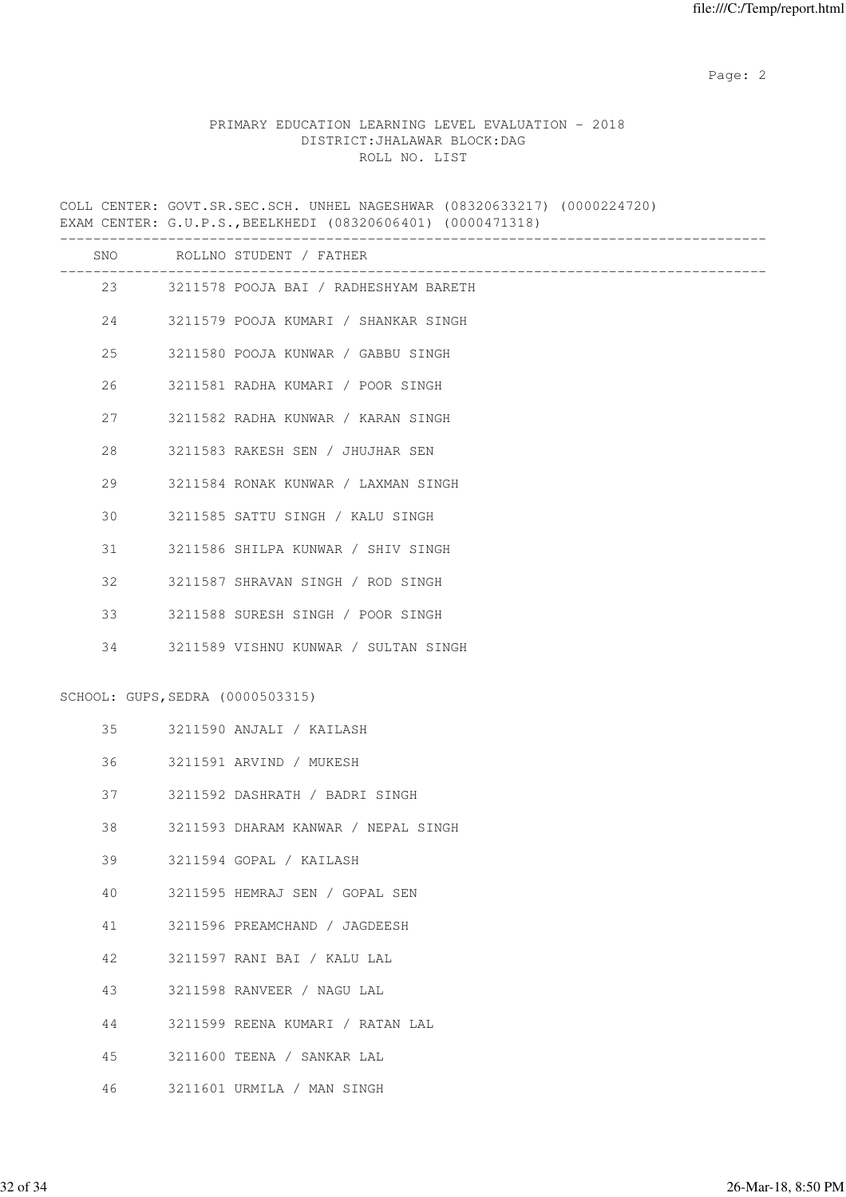## PRIMARY EDUCATION LEARNING LEVEL EVALUATION - 2018 DISTRICT:JHALAWAR BLOCK:DAG ROLL NO. LIST

COLL CENTER: GOVT.SR.SEC.SCH. UNHEL NAGESHWAR (08320633217) (0000224720) EXAM CENTER: G.U.P.S.,BEELKHEDI (08320606401) (0000471318)

|    |                                  | SNO ROLLNO STUDENT / FATHER              |
|----|----------------------------------|------------------------------------------|
|    |                                  | 23 3211578 POOJA BAI / RADHESHYAM BARETH |
| 24 |                                  | 3211579 POOJA KUMARI / SHANKAR SINGH     |
| 25 |                                  | 3211580 POOJA KUNWAR / GABBU SINGH       |
| 26 |                                  | 3211581 RADHA KUMARI / POOR SINGH        |
| 27 |                                  | 3211582 RADHA KUNWAR / KARAN SINGH       |
| 28 |                                  | 3211583 RAKESH SEN / JHUJHAR SEN         |
| 29 |                                  | 3211584 RONAK KUNWAR / LAXMAN SINGH      |
| 30 |                                  | 3211585 SATTU SINGH / KALU SINGH         |
| 31 |                                  | 3211586 SHILPA KUNWAR / SHIV SINGH       |
| 32 |                                  | 3211587 SHRAVAN SINGH / ROD SINGH        |
| 33 |                                  | 3211588 SURESH SINGH / POOR SINGH        |
| 34 |                                  | 3211589 VISHNU KUNWAR / SULTAN SINGH     |
|    | SCHOOL: GUPS, SEDRA (0000503315) |                                          |
| 35 |                                  | 3211590 ANJALI / KAILASH                 |
| 36 |                                  | 3211591 ARVIND / MUKESH                  |
| 37 |                                  | 3211592 DASHRATH / BADRI SINGH           |
| 38 |                                  | 3211593 DHARAM KANWAR / NEPAL SINGH      |
| 39 |                                  | 3211594 GOPAL / KAILASH                  |
| 40 |                                  | 3211595 HEMRAJ SEN / GOPAL SEN           |
| 41 |                                  | 3211596 PREAMCHAND / JAGDEESH            |
| 42 |                                  | 3211597 RANI BAI / KALU LAL              |
| 43 |                                  | 3211598 RANVEER / NAGU LAL               |
| 44 |                                  | 3211599 REENA KUMARI / RATAN LAL         |
| 45 |                                  | 3211600 TEENA / SANKAR LAL               |
|    |                                  |                                          |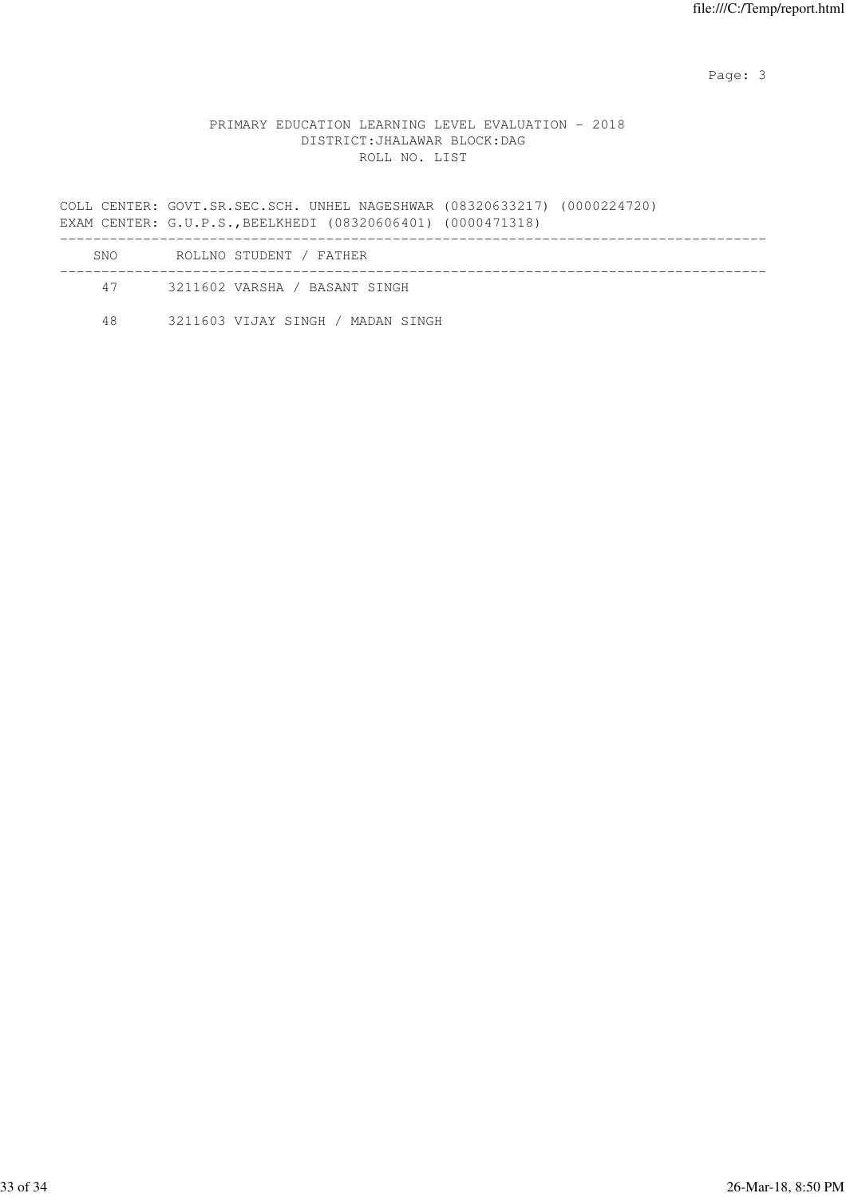Page: 3 Advanced 20 April 2014 2016 2017 2022 3 April 2017 2022 3 April 2022 3 April 2022 3 April 2022 3 April 2022 3 April 2022 3 April 2022 3 April 2022 3 April 2022 3 April 2022 3 April 2022 3 April 2022 3 April 2022 3

## PRIMARY EDUCATION LEARNING LEVEL EVALUATION - 2018 DISTRICT:JHALAWAR BLOCK:DAG ROLL NO. LIST

COLL CENTER: GOVT.SR.SEC.SCH. UNHEL NAGESHWAR (08320633217) (0000224720) EXAM CENTER: G.U.P.S.,BEELKHEDI (08320606401) (0000471318) -------------------------------------------------------------------------------------

| SNO. | ROLLNO STUDENT / FATHER           |  |
|------|-----------------------------------|--|
| 47   | 3211602 VARSHA / BASANT SINGH     |  |
| 48   | 3211603 VIJAY SINGH / MADAN SINGH |  |